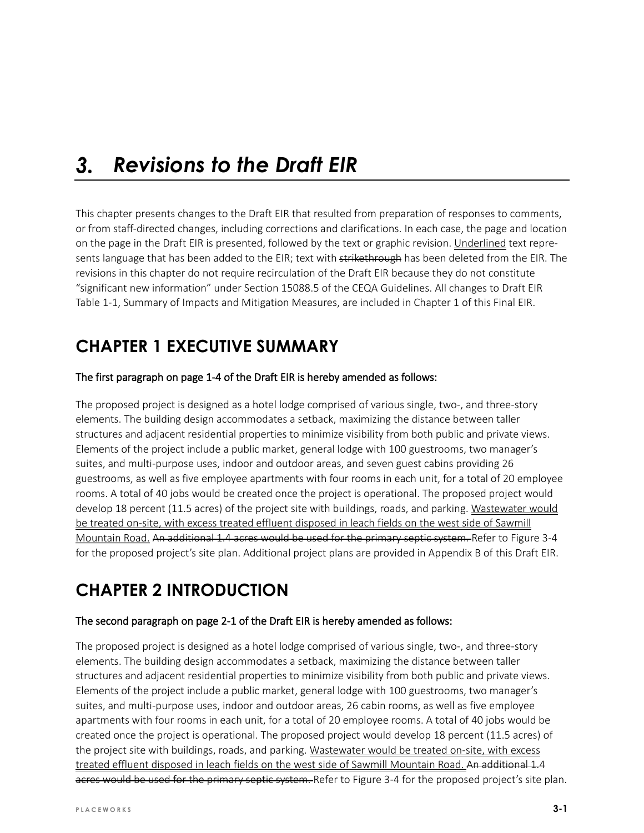#### $3.$ *Revisions to the Draft EIR*

This chapter presents changes to the Draft EIR that resulted from preparation of responses to comments, or from staff-directed changes, including corrections and clarifications. In each case, the page and location on the page in the Draft EIR is presented, followed by the text or graphic revision. Underlined text represents language that has been added to the EIR; text with strikethrough has been deleted from the EIR. The revisions in this chapter do not require recirculation of the Draft EIR because they do not constitute "significant new information" under Section 15088.5 of the CEQA Guidelines. All changes to Draft EIR Table 1-1, Summary of Impacts and Mitigation Measures, are included in Chapter 1 of this Final EIR.

# **CHAPTER 1 EXECUTIVE SUMMARY**

### The first paragraph on page 1-4 of the Draft EIR is hereby amended as follows:

The proposed project is designed as a hotel lodge comprised of various single, two-, and three-story elements. The building design accommodates a setback, maximizing the distance between taller structures and adjacent residential properties to minimize visibility from both public and private views. Elements of the project include a public market, general lodge with 100 guestrooms, two manager's suites, and multi-purpose uses, indoor and outdoor areas, and seven guest cabins providing 26 guestrooms, as well as five employee apartments with four rooms in each unit, for a total of 20 employee rooms. A total of 40 jobs would be created once the project is operational. The proposed project would develop 18 percent (11.5 acres) of the project site with buildings, roads, and parking. Wastewater would be treated on-site, with excess treated effluent disposed in leach fields on the west side of Sawmill Mountain Road. An additional 1.4 acres would be used for the primary septic system. Refer to Figure 3-4 for the proposed project's site plan. Additional project plans are provided in Appendix B of this Draft EIR.

# **CHAPTER 2 INTRODUCTION**

#### The second paragraph on page 2-1 of the Draft EIR is hereby amended as follows:

The proposed project is designed as a hotel lodge comprised of various single, two-, and three-story elements. The building design accommodates a setback, maximizing the distance between taller structures and adjacent residential properties to minimize visibility from both public and private views. Elements of the project include a public market, general lodge with 100 guestrooms, two manager's suites, and multi-purpose uses, indoor and outdoor areas, 26 cabin rooms, as well as five employee apartments with four rooms in each unit, for a total of 20 employee rooms. A total of 40 jobs would be created once the project is operational. The proposed project would develop 18 percent (11.5 acres) of the project site with buildings, roads, and parking. Wastewater would be treated on-site, with excess treated effluent disposed in leach fields on the west side of Sawmill Mountain Road. An additional 1.4 acres would be used for the primary septic system. Refer to Figure 3-4 for the proposed project's site plan.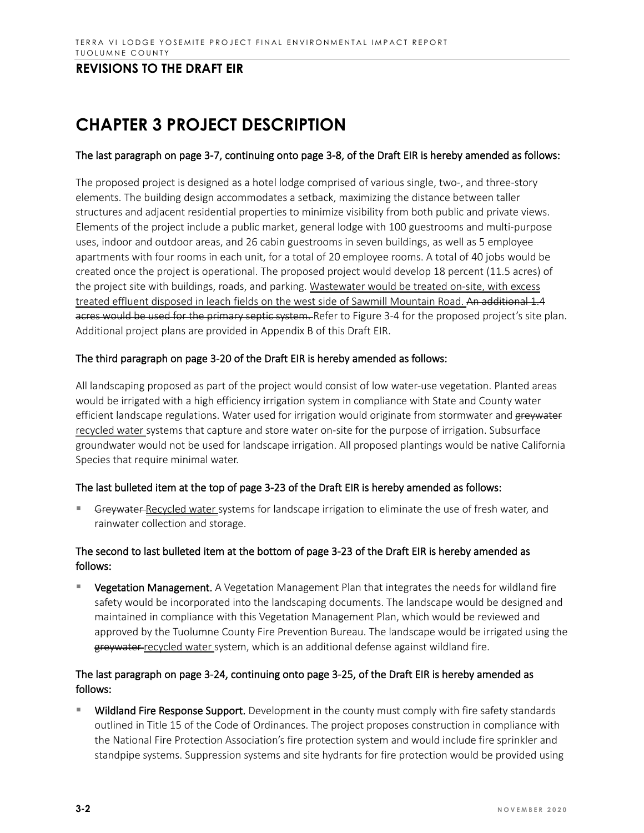# **CHAPTER 3 PROJECT DESCRIPTION**

#### The last paragraph on page 3-7, continuing onto page 3-8, of the Draft EIR is hereby amended as follows:

The proposed project is designed as a hotel lodge comprised of various single, two-, and three-story elements. The building design accommodates a setback, maximizing the distance between taller structures and adjacent residential properties to minimize visibility from both public and private views. Elements of the project include a public market, general lodge with 100 guestrooms and multi-purpose uses, indoor and outdoor areas, and 26 cabin guestrooms in seven buildings, as well as 5 employee apartments with four rooms in each unit, for a total of 20 employee rooms. A total of 40 jobs would be created once the project is operational. The proposed project would develop 18 percent (11.5 acres) of the project site with buildings, roads, and parking. Wastewater would be treated on-site, with excess treated effluent disposed in leach fields on the west side of Sawmill Mountain Road. An additional 1.4 acres would be used for the primary septic system. Refer to Figure 3-4 for the proposed project's site plan. Additional project plans are provided in Appendix B of this Draft EIR.

### The third paragraph on page 3-20 of the Draft EIR is hereby amended as follows:

All landscaping proposed as part of the project would consist of low water-use vegetation. Planted areas would be irrigated with a high efficiency irrigation system in compliance with State and County water efficient landscape regulations. Water used for irrigation would originate from stormwater and greywater recycled water systems that capture and store water on-site for the purpose of irrigation. Subsurface groundwater would not be used for landscape irrigation. All proposed plantings would be native California Species that require minimal water.

#### The last bulleted item at the top of page 3-23 of the Draft EIR is hereby amended as follows:

Greywater-Recycled water systems for landscape irrigation to eliminate the use of fresh water, and rainwater collection and storage.

### The second to last bulleted item at the bottom of page 3-23 of the Draft EIR is hereby amended as follows:

 Vegetation Management. A Vegetation Management Plan that integrates the needs for wildland fire safety would be incorporated into the landscaping documents. The landscape would be designed and maintained in compliance with this Vegetation Management Plan, which would be reviewed and approved by the Tuolumne County Fire Prevention Bureau. The landscape would be irrigated using the greywater recycled water system, which is an additional defense against wildland fire.

### The last paragraph on page 3-24, continuing onto page 3-25, of the Draft EIR is hereby amended as follows:

Wildland Fire Response Support. Development in the county must comply with fire safety standards outlined in Title 15 of the Code of Ordinances. The project proposes construction in compliance with the National Fire Protection Association's fire protection system and would include fire sprinkler and standpipe systems. Suppression systems and site hydrants for fire protection would be provided using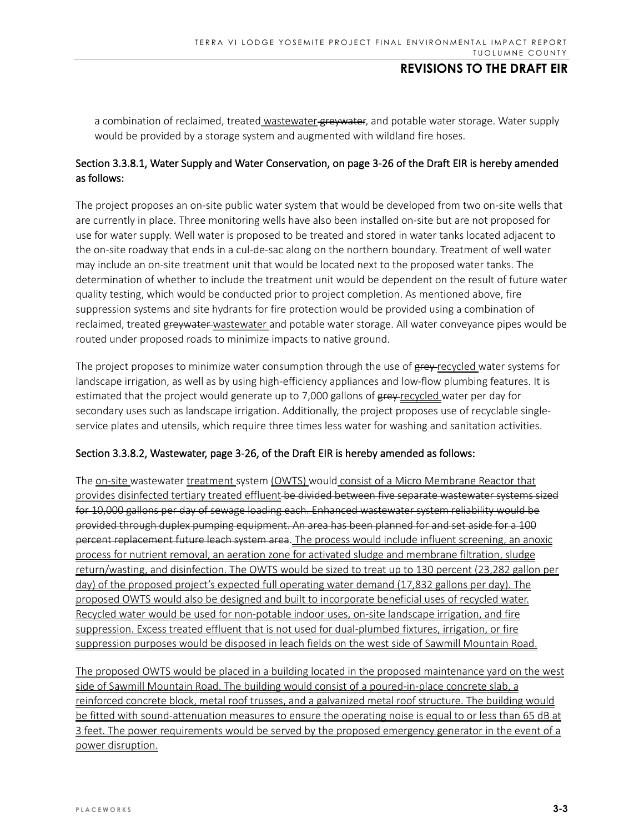a combination of reclaimed, treated wastewater greywater, and potable water storage. Water supply would be provided by a storage system and augmented with wildland fire hoses.

### Section 3.3.8.1, Water Supply and Water Conservation, on page 3-26 of the Draft EIR is hereby amended as follows:

The project proposes an on-site public water system that would be developed from two on-site wells that are currently in place. Three monitoring wells have also been installed on-site but are not proposed for use for water supply. Well water is proposed to be treated and stored in water tanks located adjacent to the on-site roadway that ends in a cul-de-sac along on the northern boundary. Treatment of well water may include an on-site treatment unit that would be located next to the proposed water tanks. The determination of whether to include the treatment unit would be dependent on the result of future water quality testing, which would be conducted prior to project completion. As mentioned above, fire suppression systems and site hydrants for fire protection would be provided using a combination of reclaimed, treated greywater wastewater and potable water storage. All water conveyance pipes would be routed under proposed roads to minimize impacts to native ground.

The project proposes to minimize water consumption through the use of grey-recycled water systems for landscape irrigation, as well as by using high-efficiency appliances and low-flow plumbing features. It is estimated that the project would generate up to 7,000 gallons of  $g_{rev-recycled}$  water per day for secondary uses such as landscape irrigation. Additionally, the project proposes use of recyclable singleservice plates and utensils, which require three times less water for washing and sanitation activities.

#### Section 3.3.8.2, Wastewater, page 3-26, of the Draft EIR is hereby amended as follows:

The on-site wastewater treatment system (OWTS) would consist of a Micro Membrane Reactor that provides disinfected tertiary treated effluent be divided between five separate wastewater systems sized for 10,000 gallons per day of sewage loading each. Enhanced wastewater system reliability would be provided through duplex pumping equipment. An area has been planned for and set aside for a 100 percent replacement future leach system area. The process would include influent screening, an anoxic process for nutrient removal, an aeration zone for activated sludge and membrane filtration, sludge return/wasting, and disinfection. The OWTS would be sized to treat up to 130 percent (23,282 gallon per day) of the proposed project's expected full operating water demand (17,832 gallons per day). The proposed OWTS would also be designed and built to incorporate beneficial uses of recycled water. Recycled water would be used for non-potable indoor uses, on-site landscape irrigation, and fire suppression. Excess treated effluent that is not used for dual-plumbed fixtures, irrigation, or fire suppression purposes would be disposed in leach fields on the west side of Sawmill Mountain Road.

The proposed OWTS would be placed in a building located in the proposed maintenance yard on the west side of Sawmill Mountain Road. The building would consist of a poured-in-place concrete slab, a reinforced concrete block, metal roof trusses, and a galvanized metal roof structure. The building would be fitted with sound-attenuation measures to ensure the operating noise is equal to or less than 65 dB at 3 feet. The power requirements would be served by the proposed emergency generator in the event of a power disruption.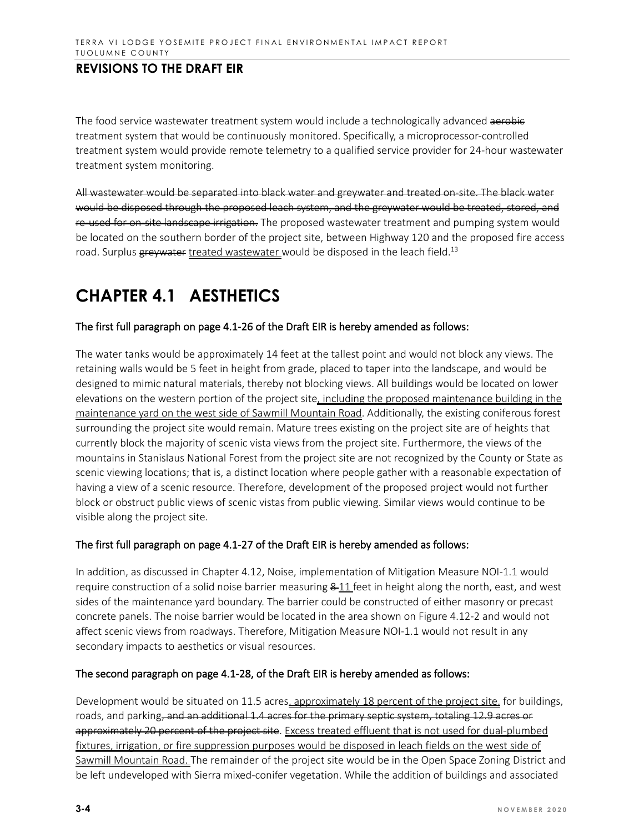The food service wastewater treatment system would include a technologically advanced aerobic treatment system that would be continuously monitored. Specifically, a microprocessor-controlled treatment system would provide remote telemetry to a qualified service provider for 24-hour wastewater treatment system monitoring.

All wastewater would be separated into black water and greywater and treated on-site. The black water would be disposed through the proposed leach system, and the greywater would be treated, stored, and re-used for on-site landscape irrigation. The proposed wastewater treatment and pumping system would be located on the southern border of the project site, between Highway 120 and the proposed fire access road. Surplus greywater treated wastewater would be disposed in the leach field.<sup>13</sup>

# **CHAPTER 4.1 AESTHETICS**

#### The first full paragraph on page 4.1-26 of the Draft EIR is hereby amended as follows:

The water tanks would be approximately 14 feet at the tallest point and would not block any views. The retaining walls would be 5 feet in height from grade, placed to taper into the landscape, and would be designed to mimic natural materials, thereby not blocking views. All buildings would be located on lower elevations on the western portion of the project site, including the proposed maintenance building in the maintenance yard on the west side of Sawmill Mountain Road. Additionally, the existing coniferous forest surrounding the project site would remain. Mature trees existing on the project site are of heights that currently block the majority of scenic vista views from the project site. Furthermore, the views of the mountains in Stanislaus National Forest from the project site are not recognized by the County or State as scenic viewing locations; that is, a distinct location where people gather with a reasonable expectation of having a view of a scenic resource. Therefore, development of the proposed project would not further block or obstruct public views of scenic vistas from public viewing. Similar views would continue to be visible along the project site.

#### The first full paragraph on page 4.1-27 of the Draft EIR is hereby amended as follows:

In addition, as discussed in Chapter 4.12, Noise, implementation of Mitigation Measure NOI-1.1 would require construction of a solid noise barrier measuring  $8-11$  feet in height along the north, east, and west sides of the maintenance yard boundary. The barrier could be constructed of either masonry or precast concrete panels. The noise barrier would be located in the area shown on Figure 4.12-2 and would not affect scenic views from roadways. Therefore, Mitigation Measure NOI-1.1 would not result in any secondary impacts to aesthetics or visual resources.

#### The second paragraph on page 4.1-28, of the Draft EIR is hereby amended as follows:

Development would be situated on 11.5 acres, approximately 18 percent of the project site, for buildings, roads, and parking, and an additional 1.4 acres for the primary septic system, totaling 12.9 acres or approximately 20 percent of the project site. Excess treated effluent that is not used for dual-plumbed fixtures, irrigation, or fire suppression purposes would be disposed in leach fields on the west side of Sawmill Mountain Road. The remainder of the project site would be in the Open Space Zoning District and be left undeveloped with Sierra mixed-conifer vegetation. While the addition of buildings and associated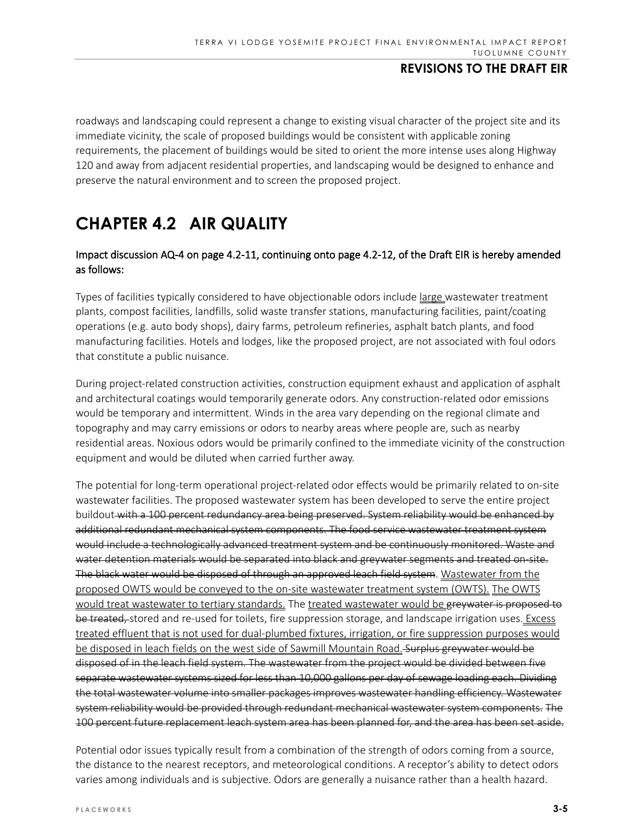roadways and landscaping could represent a change to existing visual character of the project site and its immediate vicinity, the scale of proposed buildings would be consistent with applicable zoning requirements, the placement of buildings would be sited to orient the more intense uses along Highway 120 and away from adjacent residential properties, and landscaping would be designed to enhance and preserve the natural environment and to screen the proposed project.

# **CHAPTER 4.2 AIR QUALITY**

### Impact discussion AQ-4 on page 4.2-11, continuing onto page 4.2-12, of the Draft EIR is hereby amended as follows:

Types of facilities typically considered to have objectionable odors include large wastewater treatment plants, compost facilities, landfills, solid waste transfer stations, manufacturing facilities, paint/coating operations (e.g. auto body shops), dairy farms, petroleum refineries, asphalt batch plants, and food manufacturing facilities. Hotels and lodges, like the proposed project, are not associated with foul odors that constitute a public nuisance.

During project-related construction activities, construction equipment exhaust and application of asphalt and architectural coatings would temporarily generate odors. Any construction-related odor emissions would be temporary and intermittent. Winds in the area vary depending on the regional climate and topography and may carry emissions or odors to nearby areas where people are, such as nearby residential areas. Noxious odors would be primarily confined to the immediate vicinity of the construction equipment and would be diluted when carried further away.

The potential for long-term operational project-related odor effects would be primarily related to on-site wastewater facilities. The proposed wastewater system has been developed to serve the entire project buildout with a 100 percent redundancy area being preserved. System reliability would be enhanced by additional redundant mechanical system components. The food service wastewater treatment system would include a technologically advanced treatment system and be continuously monitored. Waste and water detention materials would be separated into black and greywater segments and treated on-site. The black water would be disposed of through an approved leach field system. Wastewater from the proposed OWTS would be conveyed to the on-site wastewater treatment system (OWTS). The OWTS would treat wastewater to tertiary standards. The treated wastewater would be greywater is proposed to be treated, stored and re-used for toilets, fire suppression storage, and landscape irrigation uses. Excess treated effluent that is not used for dual-plumbed fixtures, irrigation, or fire suppression purposes would be disposed in leach fields on the west side of Sawmill Mountain Road. Surplus greywater would be disposed of in the leach field system. The wastewater from the project would be divided between five separate wastewater systems sized for less than 10,000 gallons per day of sewage loading each. Dividing the total wastewater volume into smaller packages improves wastewater handling efficiency. Wastewater system reliability would be provided through redundant mechanical wastewater system components. The 100 percent future replacement leach system area has been planned for, and the area has been set aside.

Potential odor issues typically result from a combination of the strength of odors coming from a source, the distance to the nearest receptors, and meteorological conditions. A receptor's ability to detect odors varies among individuals and is subjective. Odors are generally a nuisance rather than a health hazard.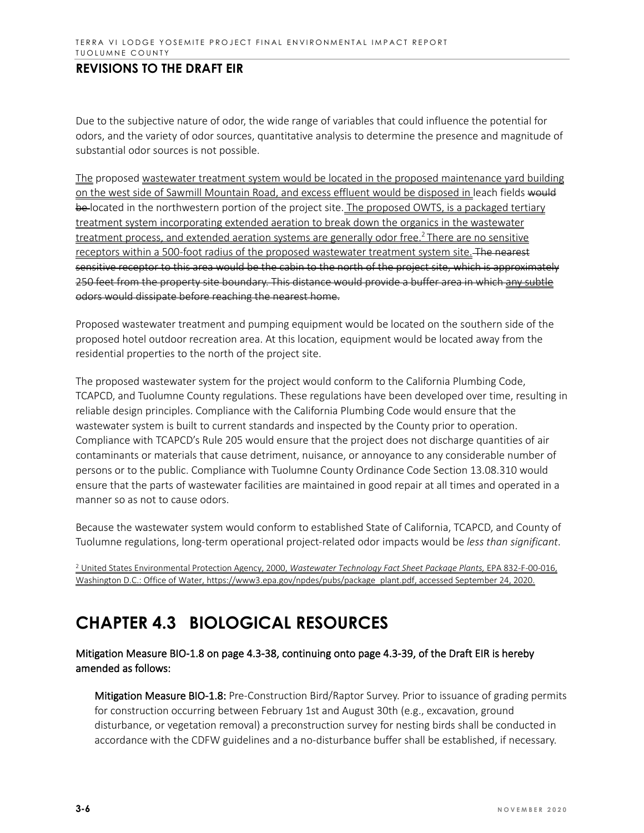Due to the subjective nature of odor, the wide range of variables that could influence the potential for odors, and the variety of odor sources, quantitative analysis to determine the presence and magnitude of substantial odor sources is not possible.

The proposed wastewater treatment system would be located in the proposed maintenance yard building on the west side of Sawmill Mountain Road, and excess effluent would be disposed in leach fields would be-located in the northwestern portion of the project site. The proposed OWTS, is a packaged tertiary treatment system incorporating extended aeration to break down the organics in the wastewater treatment process, and extended aeration systems are generally odor free.<sup>2</sup> There are no sensitive receptors within a 500-foot radius of the proposed wastewater treatment system site. The nearest sensitive receptor to this area would be the cabin to the north of the project site, which is approximately 250 feet from the property site boundary. This distance would provide a buffer area in which any subtle odors would dissipate before reaching the nearest home.

Proposed wastewater treatment and pumping equipment would be located on the southern side of the proposed hotel outdoor recreation area. At this location, equipment would be located away from the residential properties to the north of the project site.

The proposed wastewater system for the project would conform to the California Plumbing Code, TCAPCD, and Tuolumne County regulations. These regulations have been developed over time, resulting in reliable design principles. Compliance with the California Plumbing Code would ensure that the wastewater system is built to current standards and inspected by the County prior to operation. Compliance with TCAPCD's Rule 205 would ensure that the project does not discharge quantities of air contaminants or materials that cause detriment, nuisance, or annoyance to any considerable number of persons or to the public. Compliance with Tuolumne County Ordinance Code Section 13.08.310 would ensure that the parts of wastewater facilities are maintained in good repair at all times and operated in a manner so as not to cause odors.

Because the wastewater system would conform to established State of California, TCAPCD, and County of Tuolumne regulations, long-term operational project-related odor impacts would be *less than significant*.

<sup>2</sup> United States Environmental Protection Agency, 2000, Wastewater Technology Fact Sheet Package Plants, EPA 832-F-00-016, Washington D.C.: Office of Water[, https://www3.epa.gov/npdes/pubs/package\\_plant.pdf,](https://www3.epa.gov/npdes/pubs/package_plant.pdf) accessed September 24, 2020.

# **CHAPTER 4.3 BIOLOGICAL RESOURCES**

Mitigation Measure BIO-1.8 on page 4.3-38, continuing onto page 4.3-39, of the Draft EIR is hereby amended as follows:

Mitigation Measure BIO-1.8: Pre-Construction Bird/Raptor Survey. Prior to issuance of grading permits for construction occurring between February 1st and August 30th (e.g., excavation, ground disturbance, or vegetation removal) a preconstruction survey for nesting birds shall be conducted in accordance with the CDFW guidelines and a no-disturbance buffer shall be established, if necessary.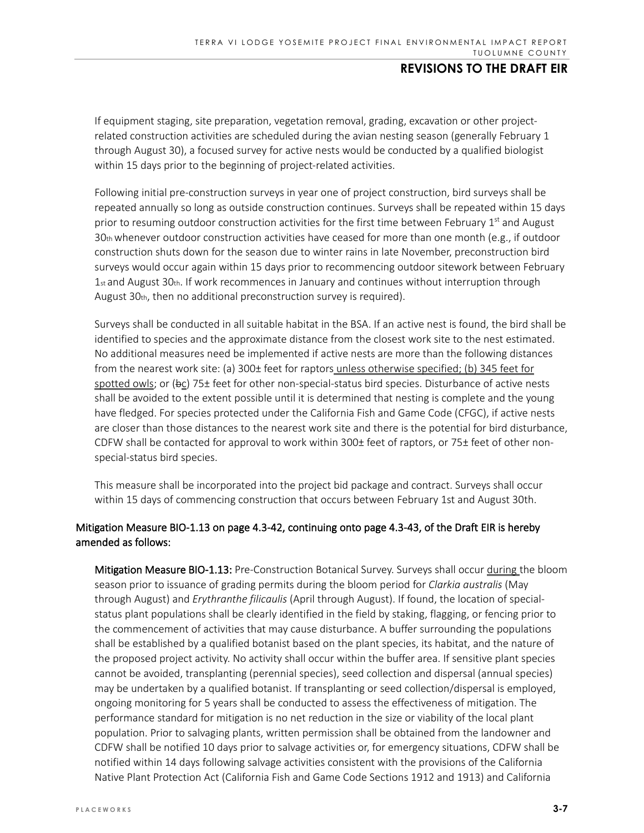If equipment staging, site preparation, vegetation removal, grading, excavation or other projectrelated construction activities are scheduled during the avian nesting season (generally February 1 through August 30), a focused survey for active nests would be conducted by a qualified biologist within 15 days prior to the beginning of project-related activities.

Following initial pre-construction surveys in year one of project construction, bird surveys shall be repeated annually so long as outside construction continues. Surveys shall be repeated within 15 days prior to resuming outdoor construction activities for the first time between February  $1<sup>st</sup>$  and August  $30<sub>th</sub>$  whenever outdoor construction activities have ceased for more than one month (e.g., if outdoor construction shuts down for the season due to winter rains in late November, preconstruction bird surveys would occur again within 15 days prior to recommencing outdoor sitework between February  $1$ <sub>st</sub> and August 30th. If work recommences in January and continues without interruption through August 30th, then no additional preconstruction survey is required).

Surveys shall be conducted in all suitable habitat in the BSA. If an active nest is found, the bird shall be identified to species and the approximate distance from the closest work site to the nest estimated. No additional measures need be implemented if active nests are more than the following distances from the nearest work site: (a) 300± feet for raptors unless otherwise specified; (b) 345 feet for spotted owls; or  $(bc)$  75± feet for other non-special-status bird species. Disturbance of active nests shall be avoided to the extent possible until it is determined that nesting is complete and the young have fledged. For species protected under the California Fish and Game Code (CFGC), if active nests are closer than those distances to the nearest work site and there is the potential for bird disturbance, CDFW shall be contacted for approval to work within 300± feet of raptors, or 75± feet of other nonspecial-status bird species.

This measure shall be incorporated into the project bid package and contract. Surveys shall occur within 15 days of commencing construction that occurs between February 1st and August 30th.

### Mitigation Measure BIO-1.13 on page 4.3-42, continuing onto page 4.3-43, of the Draft EIR is hereby amended as follows:

Mitigation Measure BIO-1.13: Pre-Construction Botanical Survey. Surveys shall occur during the bloom season prior to issuance of grading permits during the bloom period for *Clarkia australis* (May through August) and *Erythranthe filicaulis* (April through August). If found, the location of specialstatus plant populations shall be clearly identified in the field by staking, flagging, or fencing prior to the commencement of activities that may cause disturbance. A buffer surrounding the populations shall be established by a qualified botanist based on the plant species, its habitat, and the nature of the proposed project activity. No activity shall occur within the buffer area. If sensitive plant species cannot be avoided, transplanting (perennial species), seed collection and dispersal (annual species) may be undertaken by a qualified botanist. If transplanting or seed collection/dispersal is employed, ongoing monitoring for 5 years shall be conducted to assess the effectiveness of mitigation. The performance standard for mitigation is no net reduction in the size or viability of the local plant population. Prior to salvaging plants, written permission shall be obtained from the landowner and CDFW shall be notified 10 days prior to salvage activities or, for emergency situations, CDFW shall be notified within 14 days following salvage activities consistent with the provisions of the California Native Plant Protection Act (California Fish and Game Code Sections 1912 and 1913) and California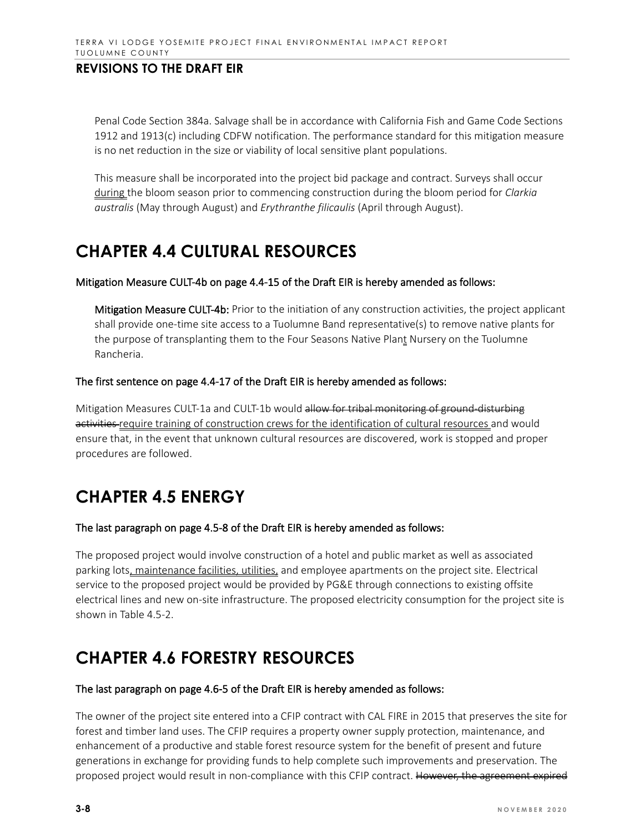Penal Code Section 384a. Salvage shall be in accordance with California Fish and Game Code Sections 1912 and 1913(c) including CDFW notification. The performance standard for this mitigation measure is no net reduction in the size or viability of local sensitive plant populations.

This measure shall be incorporated into the project bid package and contract. Surveys shall occur during the bloom season prior to commencing construction during the bloom period for *Clarkia australis* (May through August) and *Erythranthe filicaulis* (April through August).

# **CHAPTER 4.4 CULTURAL RESOURCES**

#### Mitigation Measure CULT-4b on page 4.4-15 of the Draft EIR is hereby amended as follows:

Mitigation Measure CULT-4b: Prior to the initiation of any construction activities, the project applicant shall provide one-time site access to a Tuolumne Band representative(s) to remove native plants for the purpose of transplanting them to the Four Seasons Native Plant Nursery on the Tuolumne Rancheria.

#### The first sentence on page 4.4-17 of the Draft EIR is hereby amended as follows:

Mitigation Measures CULT-1a and CULT-1b would allow for tribal monitoring of ground-disturbing activities require training of construction crews for the identification of cultural resources and would ensure that, in the event that unknown cultural resources are discovered, work is stopped and proper procedures are followed.

# **CHAPTER 4.5 ENERGY**

#### The last paragraph on page 4.5-8 of the Draft EIR is hereby amended as follows:

The proposed project would involve construction of a hotel and public market as well as associated parking lots, maintenance facilities, utilities, and employee apartments on the project site. Electrical service to the proposed project would be provided by PG&E through connections to existing offsite electrical lines and new on-site infrastructure. The proposed electricity consumption for the project site is shown in Table 4.5-2.

# **CHAPTER 4.6 FORESTRY RESOURCES**

#### The last paragraph on page 4.6-5 of the Draft EIR is hereby amended as follows:

The owner of the project site entered into a CFIP contract with CAL FIRE in 2015 that preserves the site for forest and timber land uses. The CFIP requires a property owner supply protection, maintenance, and enhancement of a productive and stable forest resource system for the benefit of present and future generations in exchange for providing funds to help complete such improvements and preservation. The proposed project would result in non-compliance with this CFIP contract. However, the agreement expired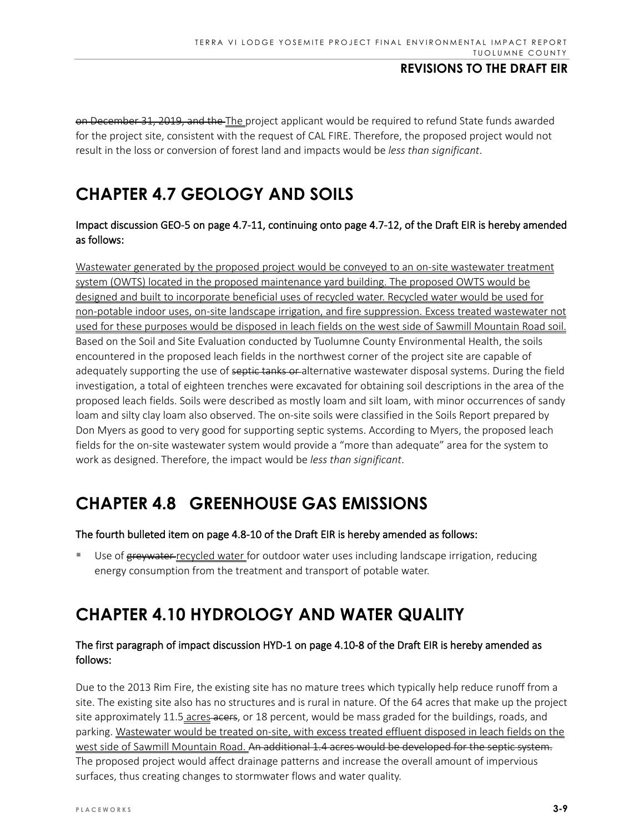on December 31, 2019, and the The project applicant would be required to refund State funds awarded for the project site, consistent with the request of CAL FIRE. Therefore, the proposed project would not result in the loss or conversion of forest land and impacts would be *less than significant*.

# **CHAPTER 4.7 GEOLOGY AND SOILS**

### Impact discussion GEO-5 on page 4.7-11, continuing onto page 4.7-12, of the Draft EIR is hereby amended as follows:

Wastewater generated by the proposed project would be conveyed to an on-site wastewater treatment system (OWTS) located in the proposed maintenance yard building. The proposed OWTS would be designed and built to incorporate beneficial uses of recycled water. Recycled water would be used for non-potable indoor uses, on-site landscape irrigation, and fire suppression. Excess treated wastewater not used for these purposes would be disposed in leach fields on the west side of Sawmill Mountain Road soil. Based on the Soil and Site Evaluation conducted by Tuolumne County Environmental Health, the soils encountered in the proposed leach fields in the northwest corner of the project site are capable of adequately supporting the use of septic tanks or alternative wastewater disposal systems. During the field investigation, a total of eighteen trenches were excavated for obtaining soil descriptions in the area of the proposed leach fields. Soils were described as mostly loam and silt loam, with minor occurrences of sandy loam and silty clay loam also observed. The on-site soils were classified in the Soils Report prepared by Don Myers as good to very good for supporting septic systems. According to Myers, the proposed leach fields for the on-site wastewater system would provide a "more than adequate" area for the system to work as designed. Therefore, the impact would be *less than significant*.

# **CHAPTER 4.8 GREENHOUSE GAS EMISSIONS**

#### The fourth bulleted item on page 4.8-10 of the Draft EIR is hereby amended as follows:

Use of greywater-recycled water for outdoor water uses including landscape irrigation, reducing energy consumption from the treatment and transport of potable water.

# **CHAPTER 4.10 HYDROLOGY AND WATER QUALITY**

### The first paragraph of impact discussion HYD-1 on page 4.10-8 of the Draft EIR is hereby amended as follows:

Due to the 2013 Rim Fire, the existing site has no mature trees which typically help reduce runoff from a site. The existing site also has no structures and is rural in nature. Of the 64 acres that make up the project site approximately 11.5 acres acers, or 18 percent, would be mass graded for the buildings, roads, and parking. Wastewater would be treated on-site, with excess treated effluent disposed in leach fields on the west side of Sawmill Mountain Road. An additional 1.4 acres would be developed for the septic system. The proposed project would affect drainage patterns and increase the overall amount of impervious surfaces, thus creating changes to stormwater flows and water quality.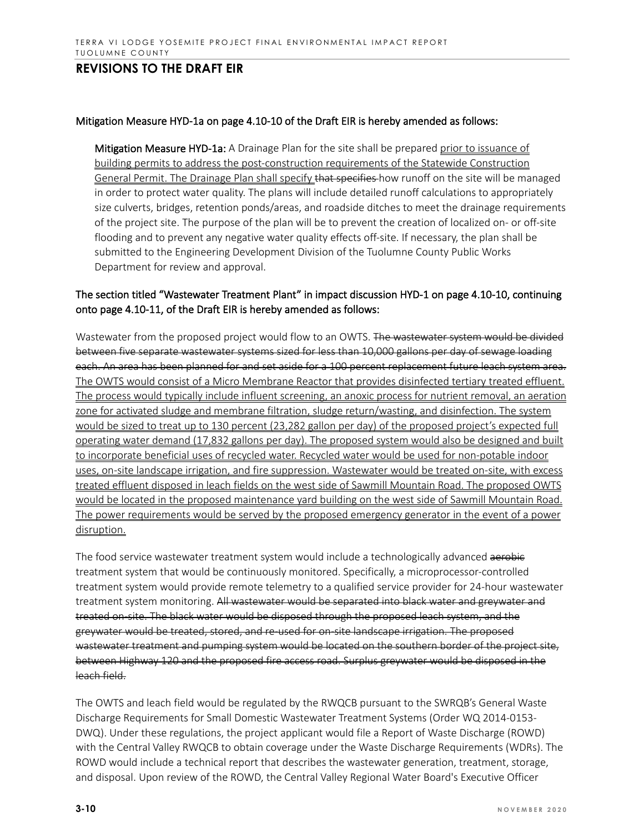#### Mitigation Measure HYD-1a on page 4.10-10 of the Draft EIR is hereby amended as follows:

Mitigation Measure HYD-1a: A Drainage Plan for the site shall be prepared prior to issuance of building permits to address the post-construction requirements of the Statewide Construction General Permit. The Drainage Plan shall specify that specifies how runoff on the site will be managed in order to protect water quality. The plans will include detailed runoff calculations to appropriately size culverts, bridges, retention ponds/areas, and roadside ditches to meet the drainage requirements of the project site. The purpose of the plan will be to prevent the creation of localized on- or off-site flooding and to prevent any negative water quality effects off-site. If necessary, the plan shall be submitted to the Engineering Development Division of the Tuolumne County Public Works Department for review and approval.

### The section titled "Wastewater Treatment Plant" in impact discussion HYD-1 on page 4.10-10, continuing onto page 4.10-11, of the Draft EIR is hereby amended as follows:

Wastewater from the proposed project would flow to an OWTS. The wastewater system would be divided between five separate wastewater systems sized for less than 10,000 gallons per day of sewage loading each. An area has been planned for and set aside for a 100 percent replacement future leach system area. The OWTS would consist of a Micro Membrane Reactor that provides disinfected tertiary treated effluent. The process would typically include influent screening, an anoxic process for nutrient removal, an aeration zone for activated sludge and membrane filtration, sludge return/wasting, and disinfection. The system would be sized to treat up to 130 percent (23,282 gallon per day) of the proposed project's expected full operating water demand (17,832 gallons per day). The proposed system would also be designed and built to incorporate beneficial uses of recycled water. Recycled water would be used for non-potable indoor uses, on-site landscape irrigation, and fire suppression. Wastewater would be treated on-site, with excess treated effluent disposed in leach fields on the west side of Sawmill Mountain Road. The proposed OWTS would be located in the proposed maintenance yard building on the west side of Sawmill Mountain Road. The power requirements would be served by the proposed emergency generator in the event of a power disruption.

The food service wastewater treatment system would include a technologically advanced aerobic treatment system that would be continuously monitored. Specifically, a microprocessor-controlled treatment system would provide remote telemetry to a qualified service provider for 24-hour wastewater treatment system monitoring. All wastewater would be separated into black water and greywater and treated on-site. The black water would be disposed through the proposed leach system, and the greywater would be treated, stored, and re-used for on-site landscape irrigation. The proposed wastewater treatment and pumping system would be located on the southern border of the project site, between Highway 120 and the proposed fire access road. Surplus greywater would be disposed in the leach field.

The OWTS and leach field would be regulated by the RWQCB pursuant to the SWRQB's General Waste Discharge Requirements for Small Domestic Wastewater Treatment Systems (Order WQ 2014-0153- DWQ). Under these regulations, the project applicant would file a Report of Waste Discharge (ROWD) with the Central Valley RWQCB to obtain coverage under the Waste Discharge Requirements (WDRs). The ROWD would include a technical report that describes the wastewater generation, treatment, storage, and disposal. Upon review of the ROWD, the Central Valley Regional Water Board's Executive Officer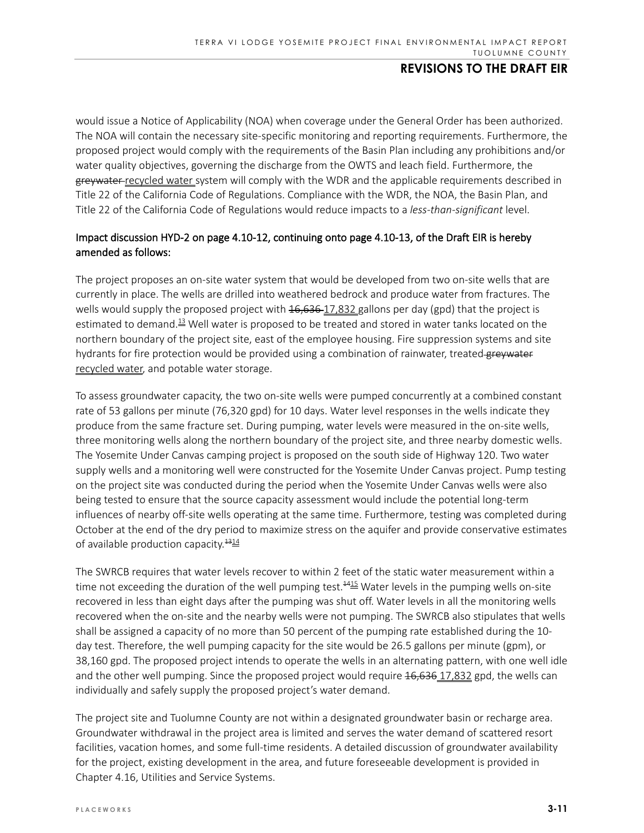would issue a Notice of Applicability (NOA) when coverage under the General Order has been authorized. The NOA will contain the necessary site-specific monitoring and reporting requirements. Furthermore, the proposed project would comply with the requirements of the Basin Plan including any prohibitions and/or water quality objectives, governing the discharge from the OWTS and leach field. Furthermore, the greywater recycled water system will comply with the WDR and the applicable requirements described in Title 22 of the California Code of Regulations. Compliance with the WDR, the NOA, the Basin Plan, and Title 22 of the California Code of Regulations would reduce impacts to a *less-than-significant* level.

## Impact discussion HYD-2 on page 4.10-12, continuing onto page 4.10-13, of the Draft EIR is hereby amended as follows:

The project proposes an on-site water system that would be developed from two on-site wells that are currently in place. The wells are drilled into weathered bedrock and produce water from fractures. The wells would supply the proposed project with  $16,636-17,832$  gallons per day (gpd) that the project is estimated to demand.<sup>13</sup> Well water is proposed to be treated and stored in water tanks located on the northern boundary of the project site, east of the employee housing. Fire suppression systems and site hydrants for fire protection would be provided using a combination of rainwater, treated greywater recycled water, and potable water storage.

To assess groundwater capacity, the two on-site wells were pumped concurrently at a combined constant rate of 53 gallons per minute (76,320 gpd) for 10 days. Water level responses in the wells indicate they produce from the same fracture set. During pumping, water levels were measured in the on-site wells, three monitoring wells along the northern boundary of the project site, and three nearby domestic wells. The Yosemite Under Canvas camping project is proposed on the south side of Highway 120. Two water supply wells and a monitoring well were constructed for the Yosemite Under Canvas project. Pump testing on the project site was conducted during the period when the Yosemite Under Canvas wells were also being tested to ensure that the source capacity assessment would include the potential long-term influences of nearby off-site wells operating at the same time. Furthermore, testing was completed during October at the end of the dry period to maximize stress on the aquifer and provide conservative estimates of available production capacity. $\frac{1314}{12}$ 

The SWRCB requires that water levels recover to within 2 feet of the static water measurement within a time not exceeding the duration of the well pumping test.<sup>4415</sup> Water levels in the pumping wells on-site recovered in less than eight days after the pumping was shut off. Water levels in all the monitoring wells recovered when the on-site and the nearby wells were not pumping. The SWRCB also stipulates that wells shall be assigned a capacity of no more than 50 percent of the pumping rate established during the 10 day test. Therefore, the well pumping capacity for the site would be 26.5 gallons per minute (gpm), or 38,160 gpd. The proposed project intends to operate the wells in an alternating pattern, with one well idle and the other well pumping. Since the proposed project would require  $16,636,17,832$  gpd, the wells can individually and safely supply the proposed project's water demand.

The project site and Tuolumne County are not within a designated groundwater basin or recharge area. Groundwater withdrawal in the project area is limited and serves the water demand of scattered resort facilities, vacation homes, and some full-time residents. A detailed discussion of groundwater availability for the project, existing development in the area, and future foreseeable development is provided in Chapter 4.16, Utilities and Service Systems.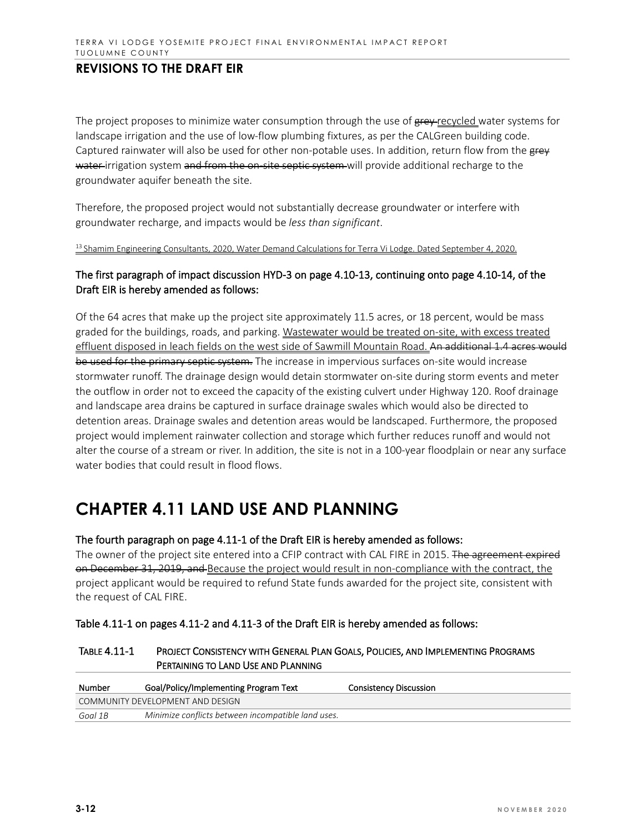The project proposes to minimize water consumption through the use of grey recycled water systems for landscape irrigation and the use of low-flow plumbing fixtures, as per the CALGreen building code. Captured rainwater will also be used for other non-potable uses. In addition, return flow from the grey water-irrigation system and from the on-site septic system will provide additional recharge to the groundwater aquifer beneath the site.

Therefore, the proposed project would not substantially decrease groundwater or interfere with groundwater recharge, and impacts would be *less than significant*.

<sup>13</sup> Shamim Engineering Consultants, 2020, Water Demand Calculations for Terra Vi Lodge. Dated September 4, 2020.

### The first paragraph of impact discussion HYD-3 on page 4.10-13, continuing onto page 4.10-14, of the Draft EIR is hereby amended as follows:

Of the 64 acres that make up the project site approximately 11.5 acres, or 18 percent, would be mass graded for the buildings, roads, and parking. Wastewater would be treated on-site, with excess treated effluent disposed in leach fields on the west side of Sawmill Mountain Road. An additional 1.4 acres would be used for the primary septic system. The increase in impervious surfaces on-site would increase stormwater runoff. The drainage design would detain stormwater on-site during storm events and meter the outflow in order not to exceed the capacity of the existing culvert under Highway 120. Roof drainage and landscape area drains be captured in surface drainage swales which would also be directed to detention areas. Drainage swales and detention areas would be landscaped. Furthermore, the proposed project would implement rainwater collection and storage which further reduces runoff and would not alter the course of a stream or river. In addition, the site is not in a 100-year floodplain or near any surface water bodies that could result in flood flows.

# **CHAPTER 4.11 LAND USE AND PLANNING**

#### The fourth paragraph on page 4.11-1 of the Draft EIR is hereby amended as follows:

The owner of the project site entered into a CFIP contract with CAL FIRE in 2015. The agreement expired on December 31, 2019, and Because the project would result in non-compliance with the contract, the project applicant would be required to refund State funds awarded for the project site, consistent with the request of CAL FIRE.

| Table 4.11-1 on pages 4.11-2 and 4.11-3 of the Draft EIR is hereby amended as follows: |  |
|----------------------------------------------------------------------------------------|--|
|----------------------------------------------------------------------------------------|--|

| Number  | Goal/Policy/Implementing Program Text              | Consistency Discussion |
|---------|----------------------------------------------------|------------------------|
|         | COMMUNITY DEVELOPMENT AND DESIGN                   |                        |
| Goal 1B | Minimize conflicts between incompatible land uses. |                        |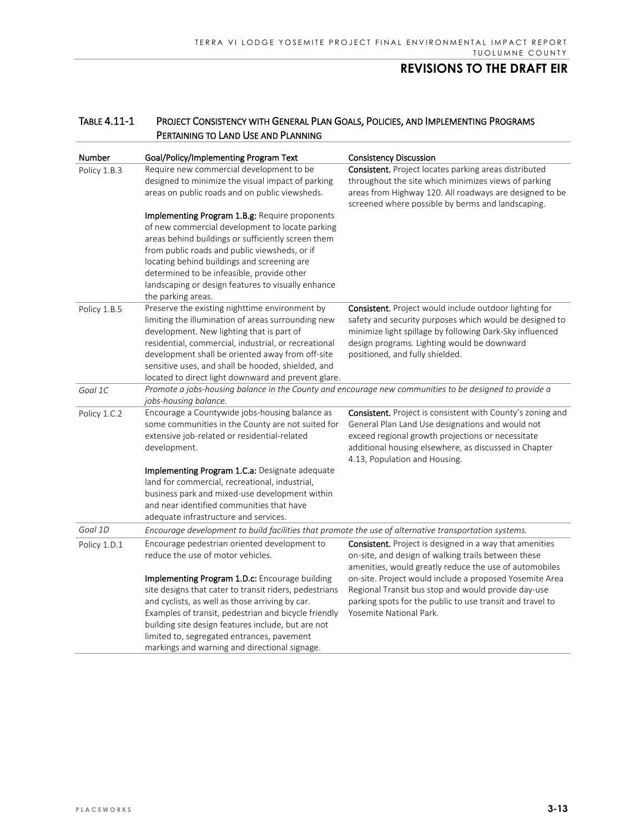| Number       | Goal/Policy/Implementing Program Text                                                                                                                                                                                                                                                                                                                                                                                                                                                                          | <b>Consistency Discussion</b>                                                                                                                                                                                                                                   |  |
|--------------|----------------------------------------------------------------------------------------------------------------------------------------------------------------------------------------------------------------------------------------------------------------------------------------------------------------------------------------------------------------------------------------------------------------------------------------------------------------------------------------------------------------|-----------------------------------------------------------------------------------------------------------------------------------------------------------------------------------------------------------------------------------------------------------------|--|
| Policy 1.B.3 | Require new commercial development to be<br>designed to minimize the visual impact of parking<br>areas on public roads and on public viewsheds.<br>Implementing Program 1.B.g: Require proponents<br>of new commercial development to locate parking<br>areas behind buildings or sufficiently screen them<br>from public roads and public viewsheds, or if<br>locating behind buildings and screening are<br>determined to be infeasible, provide other<br>landscaping or design features to visually enhance | Consistent. Project locates parking areas distributed<br>throughout the site which minimizes views of parking<br>areas from Highway 120. All roadways are designed to be<br>screened where possible by berms and landscaping.                                   |  |
| Policy 1.B.5 | the parking areas.<br>Preserve the existing nighttime environment by<br>limiting the illumination of areas surrounding new<br>development. New lighting that is part of<br>residential, commercial, industrial, or recreational<br>development shall be oriented away from off-site<br>sensitive uses, and shall be hooded, shielded, and<br>located to direct light downward and prevent glare.                                                                                                               | Consistent. Project would include outdoor lighting for<br>safety and security purposes which would be designed to<br>minimize light spillage by following Dark-Sky influenced<br>design programs. Lighting would be downward<br>positioned, and fully shielded. |  |
| Goal 1C      | Promote a jobs-housing balance in the County and encourage new communities to be designed to provide a<br>jobs-housing balance.                                                                                                                                                                                                                                                                                                                                                                                |                                                                                                                                                                                                                                                                 |  |
| Policy 1.C.2 | Encourage a Countywide jobs-housing balance as<br>some communities in the County are not suited for<br>extensive job-related or residential-related<br>development.                                                                                                                                                                                                                                                                                                                                            | Consistent. Project is consistent with County's zoning and<br>General Plan Land Use designations and would not<br>exceed regional growth projections or necessitate<br>additional housing elsewhere, as discussed in Chapter<br>4.13, Population and Housing.   |  |
|              | Implementing Program 1.C.a: Designate adequate<br>land for commercial, recreational, industrial,<br>business park and mixed-use development within<br>and near identified communities that have<br>adequate infrastructure and services.                                                                                                                                                                                                                                                                       |                                                                                                                                                                                                                                                                 |  |
| Goal 1D      | Encourage development to build facilities that promote the use of alternative transportation systems.                                                                                                                                                                                                                                                                                                                                                                                                          |                                                                                                                                                                                                                                                                 |  |
| Policy 1.D.1 | Encourage pedestrian oriented development to<br>reduce the use of motor vehicles.                                                                                                                                                                                                                                                                                                                                                                                                                              | Consistent. Project is designed in a way that amenities<br>on-site, and design of walking trails between these<br>amenities, would greatly reduce the use of automobiles                                                                                        |  |
|              | Implementing Program 1.D.c: Encourage building<br>site designs that cater to transit riders, pedestrians<br>and cyclists, as well as those arriving by car.<br>Examples of transit, pedestrian and bicycle friendly<br>building site design features include, but are not<br>limited to, segregated entrances, pavement<br>markings and warning and directional signage.                                                                                                                                       | on-site. Project would include a proposed Yosemite Area<br>Regional Transit bus stop and would provide day-use<br>parking spots for the public to use transit and travel to<br>Yosemite National Park.                                                          |  |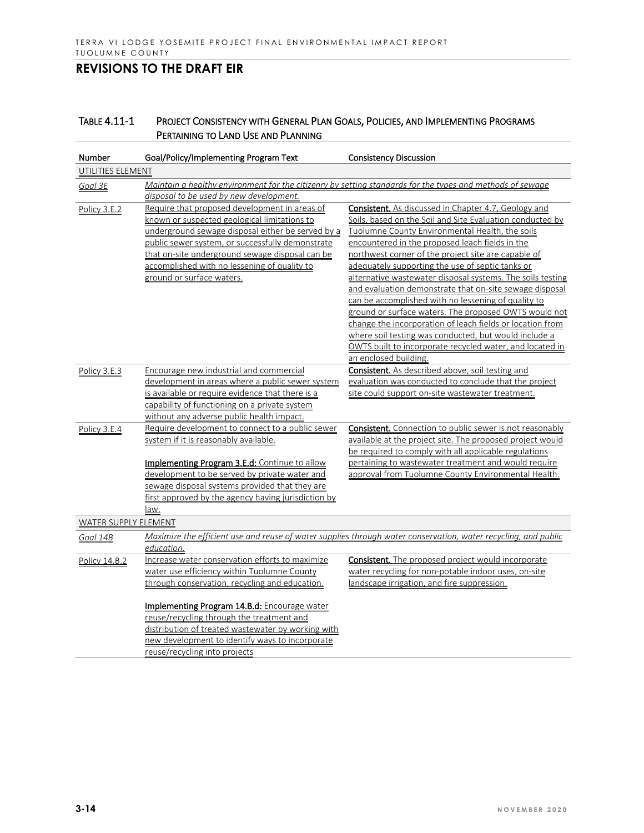| Number<br>Goal/Policy/Implementing Program Text<br><b>Consistency Discussion</b>                                                     |  |
|--------------------------------------------------------------------------------------------------------------------------------------|--|
| UTILITIES ELEMENT                                                                                                                    |  |
| Maintain a healthy environment for the citizenry by setting standards for the types and methods of sewage<br>Goal 3E                 |  |
| disposal to be used by new development.                                                                                              |  |
| Require that proposed development in areas of<br><b>Consistent.</b> As discussed in Chapter 4.7, Geology and<br>Policy 3.E.2         |  |
| known or suspected geological limitations to<br>Soils, based on the Soil and Site Evaluation conducted by                            |  |
| underground sewage disposal either be served by a<br>Tuolumne County Environmental Health, the soils                                 |  |
| public sewer system, or successfully demonstrate<br>encountered in the proposed leach fields in the                                  |  |
| that on-site underground sewage disposal can be<br>northwest corner of the project site are capable of                               |  |
| accomplished with no lessening of quality to<br>adequately supporting the use of septic tanks or                                     |  |
| ground or surface waters.<br>alternative wastewater disposal systems. The soils testing                                              |  |
| and evaluation demonstrate that on-site sewage disposal                                                                              |  |
| can be accomplished with no lessening of quality to                                                                                  |  |
| ground or surface waters. The proposed OWTS would not                                                                                |  |
| change the incorporation of leach fields or location from                                                                            |  |
| where soil testing was conducted, but would include a                                                                                |  |
| OWTS built to incorporate recycled water, and located in                                                                             |  |
| an enclosed building.                                                                                                                |  |
| <b>Consistent.</b> As described above, soil testing and<br>Encourage new industrial and commercial<br>Policy 3.E.3                   |  |
| development in areas where a public sewer system<br>evaluation was conducted to conclude that the project                            |  |
| is available or require evidence that there is a<br>site could support on-site wastewater treatment.                                 |  |
| capability of functioning on a private system                                                                                        |  |
| without any adverse public health impact.                                                                                            |  |
| Require development to connect to a public sewer<br><b>Consistent.</b> Connection to public sewer is not reasonably<br>Policy 3.E.4  |  |
| system if it is reasonably available.<br>available at the project site. The proposed project would                                   |  |
| be required to comply with all applicable regulations                                                                                |  |
| Implementing Program 3.E.d: Continue to allow<br>pertaining to wastewater treatment and would require                                |  |
| development to be served by private water and<br>approval from Tuolumne County Environmental Health.                                 |  |
| sewage disposal systems provided that they are                                                                                       |  |
| first approved by the agency having jurisdiction by                                                                                  |  |
| law.                                                                                                                                 |  |
| <b>WATER SUPPLY ELEMENT</b>                                                                                                          |  |
| Maximize the efficient use and reuse of water supplies through water conservation, water recycling, and public<br>Goal 14B           |  |
| education.                                                                                                                           |  |
| Increase water conservation efforts to maximize<br><b>Consistent.</b> The proposed project would incorporate<br><b>Policy 14.B.2</b> |  |
| water use efficiency within Tuolumne County<br>water recycling for non-potable indoor uses, on-site                                  |  |
| through conservation, recycling and education.<br>landscape irrigation, and fire suppression.                                        |  |
|                                                                                                                                      |  |
| <b>Implementing Program 14.B.d:</b> Encourage water<br>reuse/recycling through the treatment and                                     |  |
| distribution of treated wastewater by working with                                                                                   |  |
| new development to identify ways to incorporate                                                                                      |  |
| reuse/recycling into projects                                                                                                        |  |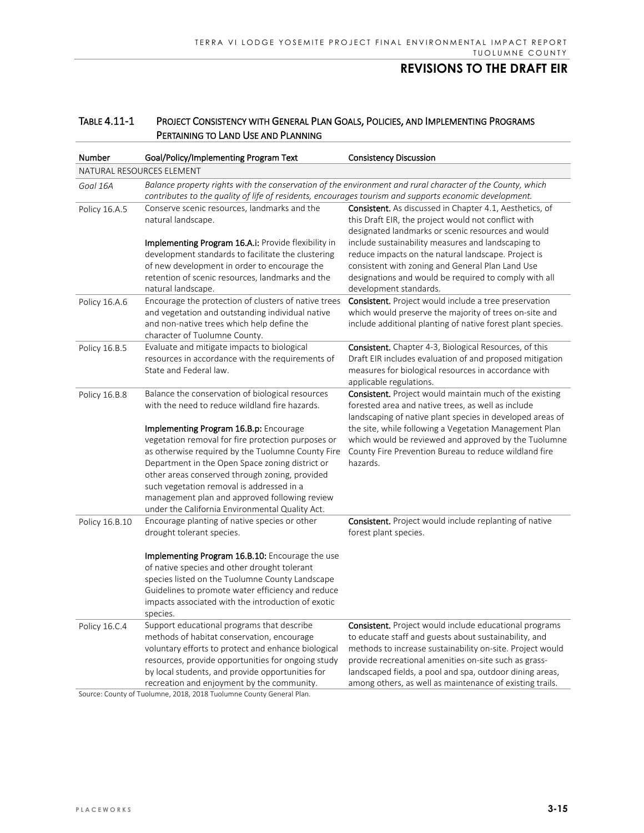| Number                    | Goal/Policy/Implementing Program Text                                                                                                                                                                                                                                                                                                                                                                                                                                                                         | <b>Consistency Discussion</b>                                                                                                                                                                                                                                                                                                                                                                                                   |  |  |
|---------------------------|---------------------------------------------------------------------------------------------------------------------------------------------------------------------------------------------------------------------------------------------------------------------------------------------------------------------------------------------------------------------------------------------------------------------------------------------------------------------------------------------------------------|---------------------------------------------------------------------------------------------------------------------------------------------------------------------------------------------------------------------------------------------------------------------------------------------------------------------------------------------------------------------------------------------------------------------------------|--|--|
| NATURAL RESOURCES ELEMENT |                                                                                                                                                                                                                                                                                                                                                                                                                                                                                                               |                                                                                                                                                                                                                                                                                                                                                                                                                                 |  |  |
| Goal 16A                  | Balance property rights with the conservation of the environment and rural character of the County, which<br>contributes to the quality of life of residents, encourages tourism and supports economic development.                                                                                                                                                                                                                                                                                           |                                                                                                                                                                                                                                                                                                                                                                                                                                 |  |  |
| Policy 16.A.5             | Conserve scenic resources, landmarks and the<br>natural landscape.<br>Implementing Program 16.A.i: Provide flexibility in<br>development standards to facilitate the clustering<br>of new development in order to encourage the<br>retention of scenic resources, landmarks and the<br>natural landscape.                                                                                                                                                                                                     | <b>Consistent.</b> As discussed in Chapter 4.1, Aesthetics, of<br>this Draft EIR, the project would not conflict with<br>designated landmarks or scenic resources and would<br>include sustainability measures and landscaping to<br>reduce impacts on the natural landscape. Project is<br>consistent with zoning and General Plan Land Use<br>designations and would be required to comply with all<br>development standards. |  |  |
| Policy 16.A.6             | Encourage the protection of clusters of native trees<br>and vegetation and outstanding individual native<br>and non-native trees which help define the<br>character of Tuolumne County.                                                                                                                                                                                                                                                                                                                       | <b>Consistent.</b> Project would include a tree preservation<br>which would preserve the majority of trees on-site and<br>include additional planting of native forest plant species.                                                                                                                                                                                                                                           |  |  |
| Policy 16.B.5             | Evaluate and mitigate impacts to biological<br>resources in accordance with the requirements of<br>State and Federal law.                                                                                                                                                                                                                                                                                                                                                                                     | <b>Consistent.</b> Chapter 4-3, Biological Resources, of this<br>Draft EIR includes evaluation of and proposed mitigation<br>measures for biological resources in accordance with<br>applicable regulations.                                                                                                                                                                                                                    |  |  |
| Policy 16.B.8             | Balance the conservation of biological resources<br>with the need to reduce wildland fire hazards.<br>Implementing Program 16.B.p: Encourage<br>vegetation removal for fire protection purposes or<br>as otherwise required by the Tuolumne County Fire<br>Department in the Open Space zoning district or<br>other areas conserved through zoning, provided<br>such vegetation removal is addressed in a<br>management plan and approved following review<br>under the California Environmental Quality Act. | <b>Consistent.</b> Project would maintain much of the existing<br>forested area and native trees, as well as include<br>landscaping of native plant species in developed areas of<br>the site, while following a Vegetation Management Plan<br>which would be reviewed and approved by the Tuolumne<br>County Fire Prevention Bureau to reduce wildland fire<br>hazards.                                                        |  |  |
| Policy 16.B.10            | Encourage planting of native species or other<br>drought tolerant species.<br>Implementing Program 16.B.10: Encourage the use<br>of native species and other drought tolerant<br>species listed on the Tuolumne County Landscape<br>Guidelines to promote water efficiency and reduce<br>impacts associated with the introduction of exotic<br>species.                                                                                                                                                       | Consistent. Project would include replanting of native<br>forest plant species.                                                                                                                                                                                                                                                                                                                                                 |  |  |
| Policy 16.C.4             | Support educational programs that describe<br>methods of habitat conservation, encourage<br>voluntary efforts to protect and enhance biological<br>resources, provide opportunities for ongoing study<br>by local students, and provide opportunities for<br>recreation and enjoyment by the community.<br>Source: County of Tuolumne, 2018, 2018 Tuolumne County General Plan.                                                                                                                               | <b>Consistent.</b> Project would include educational programs<br>to educate staff and guests about sustainability, and<br>methods to increase sustainability on-site. Project would<br>provide recreational amenities on-site such as grass-<br>landscaped fields, a pool and spa, outdoor dining areas,<br>among others, as well as maintenance of existing trails.                                                            |  |  |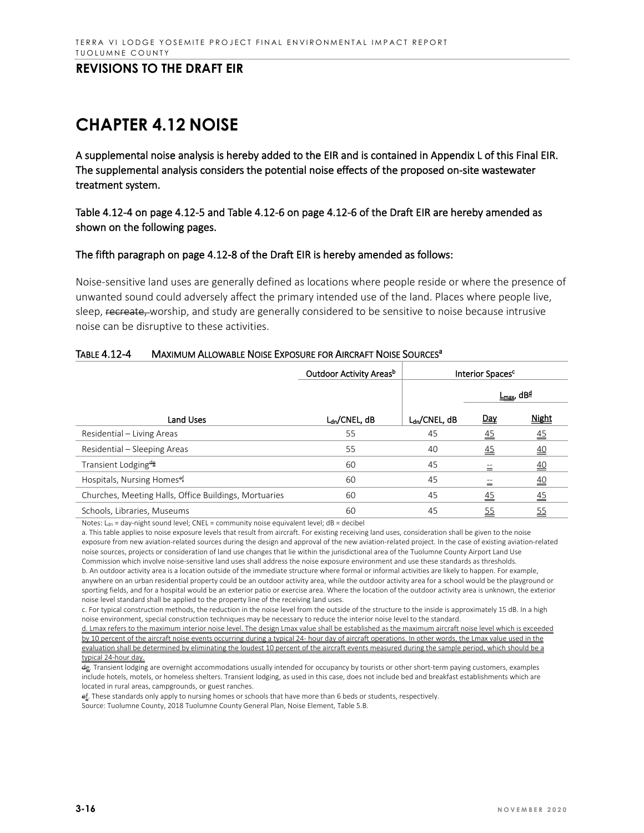# **CHAPTER 4.12 NOISE**

A supplemental noise analysis is hereby added to the EIR and is contained in Appendix L of this Final EIR. The supplemental analysis considers the potential noise effects of the proposed on-site wastewater treatment system.

Table 4.12-4 on page 4.12-5 and Table 4.12-6 on page 4.12-6 of the Draft EIR are hereby amended as shown on the following pages.

#### The fifth paragraph on page 4.12-8 of the Draft EIR is hereby amended as follows:

Noise-sensitive land uses are generally defined as locations where people reside or where the presence of unwanted sound could adversely affect the primary intended use of the land. Places where people live, sleep, recreate, worship, and study are generally considered to be sensitive to noise because intrusive noise can be disruptive to these activities.

|                                                       | Outdoor Activity Areas <sup>b</sup> | Interior Spaces <sup>c</sup> |                 |                                          |
|-------------------------------------------------------|-------------------------------------|------------------------------|-----------------|------------------------------------------|
|                                                       |                                     |                              |                 | <u>L<sub>max</sub></u> , dB <sup>₫</sup> |
| <b>Land Uses</b>                                      | L <sub>dn</sub> /CNEL, dB           | $L_{dn}/CNEL, dB$            | Day             | <b>Night</b>                             |
| Residential - Living Areas                            | 55                                  | 45                           | $\overline{45}$ | $\overline{45}$                          |
| Residential - Sleeping Areas                          | 55                                  | 40                           | 45              | $\overline{40}$                          |
| Transient Lodging <sup>#</sup>                        | 60                                  | 45                           | 三               | $\overline{40}$                          |
| Hospitals, Nursing Homes <sup>ef</sup>                | 60                                  | 45                           | 三               | $\overline{40}$                          |
| Churches, Meeting Halls, Office Buildings, Mortuaries | 60                                  | 45                           | $\overline{45}$ | $\overline{45}$                          |
| Schools, Libraries, Museums                           | 60                                  | 45                           | <u>55</u>       | <u>55</u>                                |

#### TABLE 4.12-4 MAXIMUM ALLOWABLE NOISE EXPOSURE FOR AIRCRAFT NOISE SOURCES<sup>a</sup>

Notes:  $L_{dn}$  = day-night sound level; CNEL = community noise equivalent level; dB = decibel

a. This table applies to noise exposure levels that result from aircraft. For existing receiving land uses, consideration shall be given to the noise exposure from new aviation-related sources during the design and approval of the new aviation-related project. In the case of existing aviation-related noise sources, projects or consideration of land use changes that lie within the jurisdictional area of the Tuolumne County Airport Land Use Commission which involve noise-sensitive land uses shall address the noise exposure environment and use these standards as thresholds. b. An outdoor activity area is a location outside of the immediate structure where formal or informal activities are likely to happen. For example, anywhere on an urban residential property could be an outdoor activity area, while the outdoor activity area for a school would be the playground or sporting fields, and for a hospital would be an exterior patio or exercise area. Where the location of the outdoor activity area is unknown, the exterior

noise level standard shall be applied to the property line of the receiving land uses. c. For typical construction methods, the reduction in the noise level from the outside of the structure to the inside is approximately 15 dB. In a high noise environment, special construction techniques may be necessary to reduce the interior noise level to the standard.

d. Lmax refers to the maximum interior noise level. The design Lmax value shall be established as the maximum aircraft noise level which is exceeded by 10 percent of the aircraft noise events occurring during a typical 24- hour day of aircraft operations. In other words, the Lmax value used in the evaluation shall be determined by eliminating the loudest 10 percent of the aircraft events measured during the sample period, which should be a typical 24-hour day.

de. Transient lodging are overnight accommodations usually intended for occupancy by tourists or other short-term paying customers, examples include hotels, motels, or homeless shelters. Transient lodging, as used in this case, does not include bed and breakfast establishments which are located in rural areas, campgrounds, or guest ranches.

ef. These standards only apply to nursing homes or schools that have more than 6 beds or students, respectively.

Source: Tuolumne County, 2018 Tuolumne County General Plan, Noise Element, Table 5.B.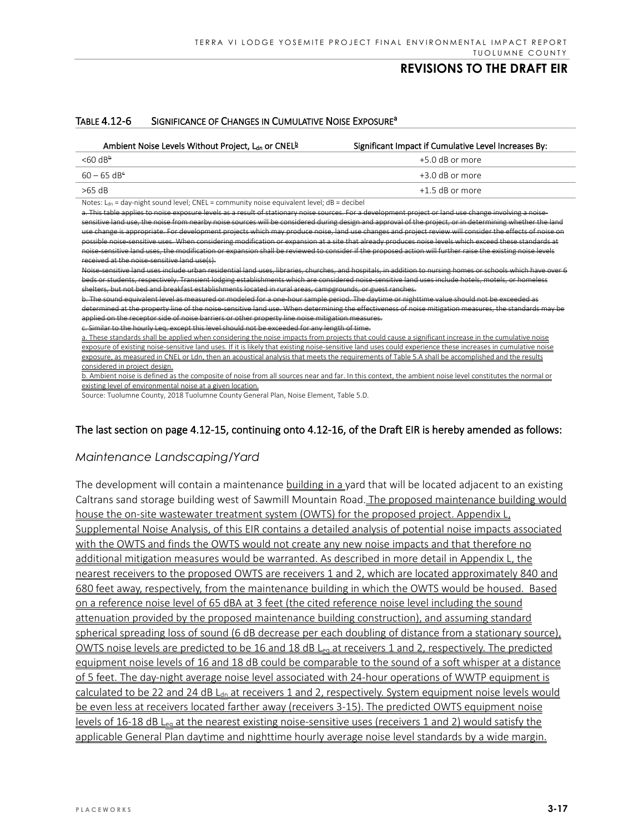# Ambient Noise Levels Without Project,  $L_{dn}$  or CNEL $\frac{b}{n}$  Significant Impact if Cumulative Level Increases By:  $<60 \text{ dB}^{\frac{1}{2}}$  +5.0 dB or more  $60 - 65$  dB<sup>e</sup>  $+3.0$  dB or more

#### TABLE 4.12-6 SIGNIFICANCE OF CHANGES IN CUMULATIVE NOISE EXPOSURE<sup>a</sup>

>65 dB +1.5 dB or more

Notes:  $L_{\text{dn}}$  = day-night sound level; CNEL = community noise equivalent level; dB = decibel

a. This table applies to noise exposure levels as a result of stationary noise sources. For a development project or land use change involving a noisesensitive land use, the noise from nearby noise sources will be considered during design and approval of the project, or in determining whether the l use change is appropriate. For development projects which may produce noise, land use changes and pro possible noise-sensitive uses. When considering modification or expansion at a site that already produces noise levels which exceed these standards at noise-sensitive land uses, the modification or expansion shall be reviewed to consider if the proposed action will further raise the existing noise levels received at the noise-sensitive land use(s).

Noise-sensitive land uses include urban residential land uses, libraries, churches, and hospitals, in addition to nursing homes or schools which have over 6 beds or students, respectively. Transient lodging establishments which are considered noise-sensitive land uses include hotels, motels, or homeless

shelters, but not bed and breakfast establishments located in rural areas, campgrounds, or guest ranches.

b. The sound equivalent level as measured or modeled for a one-hour sample period. The daytime or nighttime value should not be exceeded as determined at the property line of the noise-sensitive land use. When determining the effectiveness of noise mitigation measures, the standards may be applied on the receptor side of noise barriers or other property line noise mitigation measures.

nilar to the hourly Leq, except this level should not be exceeded for any length of time.

a. These standards shall be applied when considering the noise impacts from projects that could cause a significant increase in the cumulative noise exposure of existing noise-sensitive land uses. If it is likely that existing noise-sensitive land uses could experience these increases in cumulative noise exposure, as measured in CNEL or Ldn, then an acoustical analysis that meets the requirements of Table 5.A shall be accomplished and the results considered in project design.

b. Ambient noise is defined as the composite of noise from all sources near and far. In this context, the ambient noise level constitutes the normal or existing level of environmental noise at a given location.

Source: Tuolumne County, 2018 Tuolumne County General Plan, Noise Element, Table 5.D.

### The last section on page 4.12-15, continuing onto 4.12-16, of the Draft EIR is hereby amended as follows:

## *Maintenance Landscaping/Yard*

The development will contain a maintenance building in a yard that will be located adjacent to an existing Caltrans sand storage building west of Sawmill Mountain Road. The proposed maintenance building would house the on-site wastewater treatment system (OWTS) for the proposed project. Appendix L, Supplemental Noise Analysis, of this EIR contains a detailed analysis of potential noise impacts associated with the OWTS and finds the OWTS would not create any new noise impacts and that therefore no additional mitigation measures would be warranted. As described in more detail in Appendix L, the nearest receivers to the proposed OWTS are receivers 1 and 2, which are located approximately 840 and 680 feet away, respectively, from the maintenance building in which the OWTS would be housed. Based on a reference noise level of 65 dBA at 3 feet (the cited reference noise level including the sound attenuation provided by the proposed maintenance building construction), and assuming standard spherical spreading loss of sound (6 dB decrease per each doubling of distance from a stationary source), OWTS noise levels are predicted to be 16 and 18 dB L<sub>eg</sub> at receivers 1 and 2, respectively. The predicted equipment noise levels of 16 and 18 dB could be comparable to the sound of a soft whisper at a distance of 5 feet. The day-night average noise level associated with 24-hour operations of WWTP equipment is calculated to be 22 and 24 dB  $L<sub>dn</sub>$  at receivers 1 and 2, respectively. System equipment noise levels would be even less at receivers located farther away (receivers 3-15). The predicted OWTS equipment noise levels of 16-18 dB L<sub>eg</sub> at the nearest existing noise-sensitive uses (receivers 1 and 2) would satisfy the applicable General Plan daytime and nighttime hourly average noise level standards by a wide margin.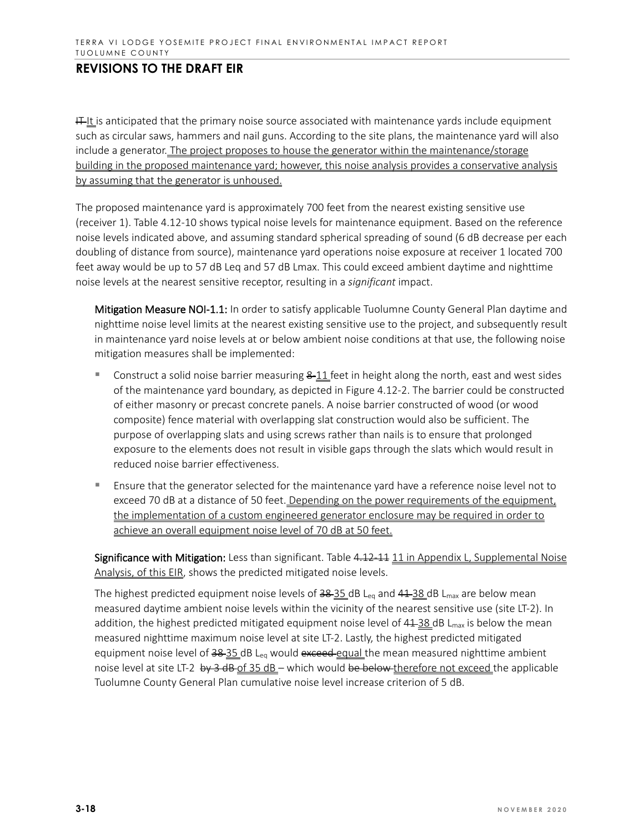$H_{\text{L}}$  is anticipated that the primary noise source associated with maintenance yards include equipment such as circular saws, hammers and nail guns. According to the site plans, the maintenance yard will also include a generator. The project proposes to house the generator within the maintenance/storage building in the proposed maintenance yard; however, this noise analysis provides a conservative analysis by assuming that the generator is unhoused.

The proposed maintenance yard is approximately 700 feet from the nearest existing sensitive use (receiver 1). Table 4.12-10 shows typical noise levels for maintenance equipment. Based on the reference noise levels indicated above, and assuming standard spherical spreading of sound (6 dB decrease per each doubling of distance from source), maintenance yard operations noise exposure at receiver 1 located 700 feet away would be up to 57 dB Leq and 57 dB Lmax. This could exceed ambient daytime and nighttime noise levels at the nearest sensitive receptor, resulting in a *significant* impact.

Mitigation Measure NOI-1.1: In order to satisfy applicable Tuolumne County General Plan daytime and nighttime noise level limits at the nearest existing sensitive use to the project, and subsequently result in maintenance yard noise levels at or below ambient noise conditions at that use, the following noise mitigation measures shall be implemented:

- Construct a solid noise barrier measuring  $8-11$  feet in height along the north, east and west sides of the maintenance yard boundary, as depicted in Figure 4.12-2. The barrier could be constructed of either masonry or precast concrete panels. A noise barrier constructed of wood (or wood composite) fence material with overlapping slat construction would also be sufficient. The purpose of overlapping slats and using screws rather than nails is to ensure that prolonged exposure to the elements does not result in visible gaps through the slats which would result in reduced noise barrier effectiveness.
- Ensure that the generator selected for the maintenance yard have a reference noise level not to exceed 70 dB at a distance of 50 feet. Depending on the power requirements of the equipment, the implementation of a custom engineered generator enclosure may be required in order to achieve an overall equipment noise level of 70 dB at 50 feet.

Significance with Mitigation: Less than significant. Table 4.12-11 11 in Appendix L, Supplemental Noise Analysis, of this EIR, shows the predicted mitigated noise levels.

The highest predicted equipment noise levels of  $38-35$  dB L<sub>eq</sub> and  $41-38$  dB L<sub>max</sub> are below mean measured daytime ambient noise levels within the vicinity of the nearest sensitive use (site LT-2). In addition, the highest predicted mitigated equipment noise level of  $41-38$  dB L<sub>max</sub> is below the mean measured nighttime maximum noise level at site LT-2. Lastly, the highest predicted mitigated equipment noise level of 38-35 dB L<sub>eq</sub> would exceed equal the mean measured nighttime ambient noise level at site LT-2 by 3 dB-of 35 dB – which would be below therefore not exceed the applicable Tuolumne County General Plan cumulative noise level increase criterion of 5 dB.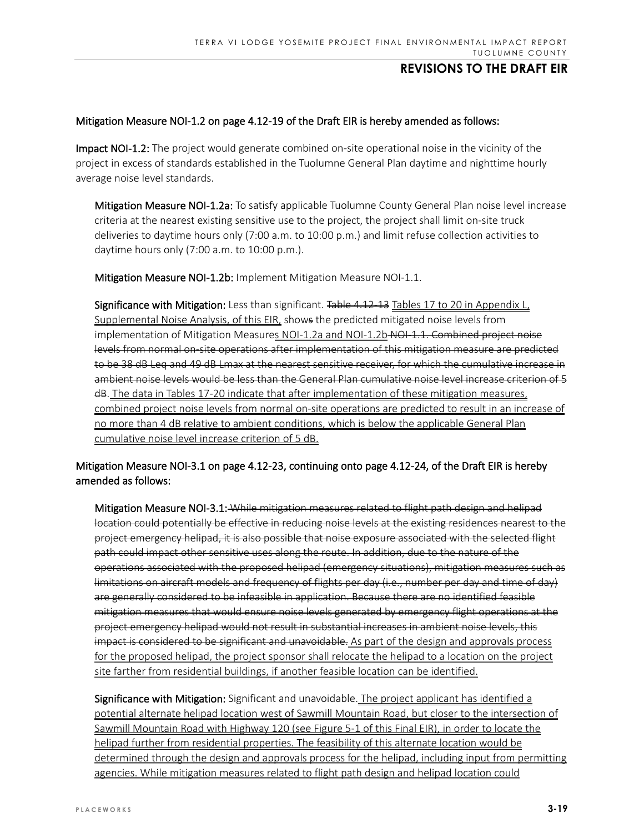#### Mitigation Measure NOI-1.2 on page 4.12-19 of the Draft EIR is hereby amended as follows:

Impact NOI-1.2: The project would generate combined on-site operational noise in the vicinity of the project in excess of standards established in the Tuolumne General Plan daytime and nighttime hourly average noise level standards.

Mitigation Measure NOI-1.2a: To satisfy applicable Tuolumne County General Plan noise level increase criteria at the nearest existing sensitive use to the project, the project shall limit on-site truck deliveries to daytime hours only (7:00 a.m. to 10:00 p.m.) and limit refuse collection activities to daytime hours only (7:00 a.m. to 10:00 p.m.).

Mitigation Measure NOI-1.2b: Implement Mitigation Measure NOI-1.1.

Significance with Mitigation: Less than significant. Table 4.12-13 Tables 17 to 20 in Appendix L, Supplemental Noise Analysis, of this EIR, shows the predicted mitigated noise levels from implementation of Mitigation Measures NOI-1.2a and NOI-1.2b NOI-1.1. Combined project noise levels from normal on-site operations after implementation of this mitigation measure are predicted to be 38 dB Leq and 49 dB Lmax at the nearest sensitive receiver, for which the cumulative increase in ambient noise levels would be less than the General Plan cumulative noise level increase criterion of 5 dB. The data in Tables 17-20 indicate that after implementation of these mitigation measures, combined project noise levels from normal on-site operations are predicted to result in an increase of no more than 4 dB relative to ambient conditions, which is below the applicable General Plan cumulative noise level increase criterion of 5 dB.

### Mitigation Measure NOI-3.1 on page 4.12-23, continuing onto page 4.12-24, of the Draft EIR is hereby amended as follows:

Mitigation Measure NOI-3.1: While mitigation measures related to flight path design and helipad location could potentially be effective in reducing noise levels at the existing residences nearest to the project emergency helipad, it is also possible that noise exposure associated with the selected flight path could impact other sensitive uses along the route. In addition, due to the nature of the operations associated with the proposed helipad (emergency situations), mitigation measures such as limitations on aircraft models and frequency of flights per day (i.e., number per day and time of day) are generally considered to be infeasible in application. Because there are no identified feasible mitigation measures that would ensure noise levels generated by emergency flight operations at the project emergency helipad would not result in substantial increases in ambient noise levels, this impact is considered to be significant and unavoidable. As part of the design and approvals process for the proposed helipad, the project sponsor shall relocate the helipad to a location on the project site farther from residential buildings, if another feasible location can be identified.

Significance with Mitigation: Significant and unavoidable. The project applicant has identified a potential alternate helipad location west of Sawmill Mountain Road, but closer to the intersection of Sawmill Mountain Road with Highway 120 (see Figure 5-1 of this Final EIR), in order to locate the helipad further from residential properties. The feasibility of this alternate location would be determined through the design and approvals process for the helipad, including input from permitting agencies. While mitigation measures related to flight path design and helipad location could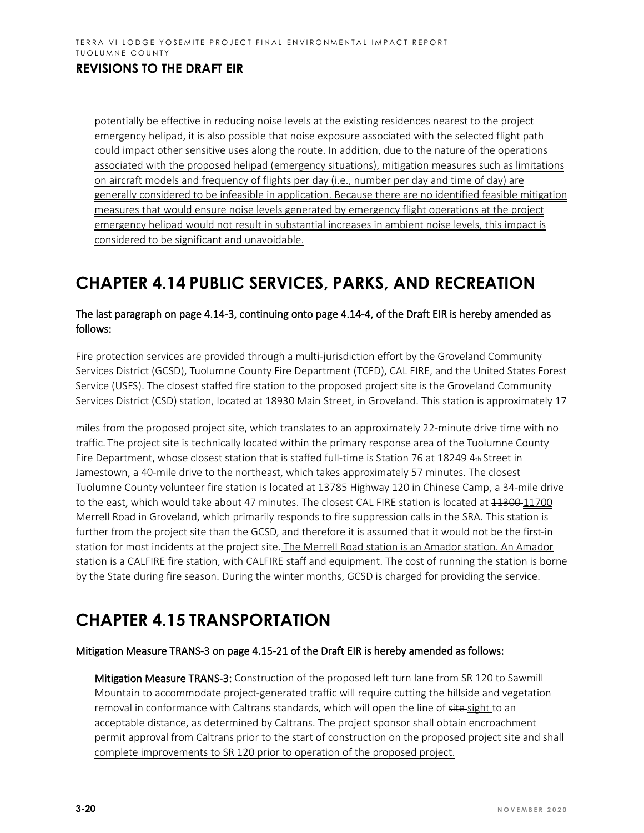potentially be effective in reducing noise levels at the existing residences nearest to the project emergency helipad, it is also possible that noise exposure associated with the selected flight path could impact other sensitive uses along the route. In addition, due to the nature of the operations associated with the proposed helipad (emergency situations), mitigation measures such as limitations on aircraft models and frequency of flights per day (i.e., number per day and time of day) are generally considered to be infeasible in application. Because there are no identified feasible mitigation measures that would ensure noise levels generated by emergency flight operations at the project emergency helipad would not result in substantial increases in ambient noise levels, this impact is considered to be significant and unavoidable.

# **CHAPTER 4.14 PUBLIC SERVICES, PARKS, AND RECREATION**

### The last paragraph on page 4.14-3, continuing onto page 4.14-4, of the Draft EIR is hereby amended as follows:

Fire protection services are provided through a multi-jurisdiction effort by the Groveland Community Services District (GCSD), Tuolumne County Fire Department (TCFD), CAL FIRE, and the United States Forest Service (USFS). The closest staffed fire station to the proposed project site is the Groveland Community Services District (CSD) station, located at 18930 Main Street, in Groveland. This station is approximately 17

miles from the proposed project site, which translates to an approximately 22-minute drive time with no traffic. The project site is technically located within the primary response area of the Tuolumne County Fire Department, whose closest station that is staffed full-time is Station 76 at 18249 4th Street in Jamestown, a 40-mile drive to the northeast, which takes approximately 57 minutes. The closest Tuolumne County volunteer fire station is located at 13785 Highway 120 in Chinese Camp, a 34-mile drive to the east, which would take about 47 minutes. The closest CAL FIRE station is located at  $11300$  11700 Merrell Road in Groveland, which primarily responds to fire suppression calls in the SRA. This station is further from the project site than the GCSD, and therefore it is assumed that it would not be the first-in station for most incidents at the project site. The Merrell Road station is an Amador station. An Amador station is a CALFIRE fire station, with CALFIRE staff and equipment. The cost of running the station is borne by the State during fire season. During the winter months, GCSD is charged for providing the service.

# **CHAPTER 4.15 TRANSPORTATION**

### Mitigation Measure TRANS-3 on page 4.15-21 of the Draft EIR is hereby amended as follows:

Mitigation Measure TRANS-3: Construction of the proposed left turn lane from SR 120 to Sawmill Mountain to accommodate project-generated traffic will require cutting the hillside and vegetation removal in conformance with Caltrans standards, which will open the line of site-sight to an acceptable distance, as determined by Caltrans. The project sponsor shall obtain encroachment permit approval from Caltrans prior to the start of construction on the proposed project site and shall complete improvements to SR 120 prior to operation of the proposed project.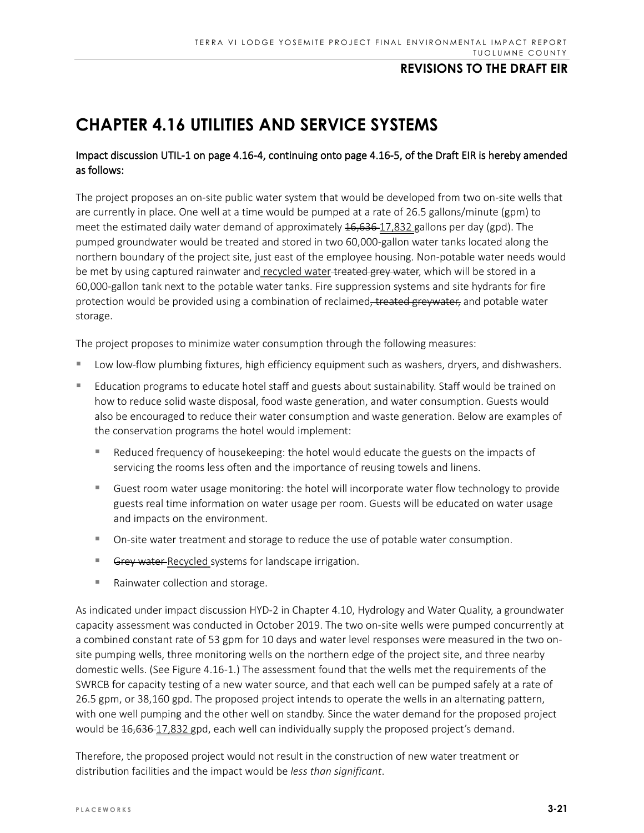# **CHAPTER 4.16 UTILITIES AND SERVICE SYSTEMS**

### Impact discussion UTIL-1 on page 4.16-4, continuing onto page 4.16-5, of the Draft EIR is hereby amended as follows:

The project proposes an on-site public water system that would be developed from two on-site wells that are currently in place. One well at a time would be pumped at a rate of 26.5 gallons/minute (gpm) to meet the estimated daily water demand of approximately 16,636-17,832 gallons per day (gpd). The pumped groundwater would be treated and stored in two 60,000-gallon water tanks located along the northern boundary of the project site, just east of the employee housing. Non-potable water needs would be met by using captured rainwater and recycled water-treated grey water, which will be stored in a 60,000-gallon tank next to the potable water tanks. Fire suppression systems and site hydrants for fire protection would be provided using a combination of reclaimed, treated greywater, and potable water storage.

The project proposes to minimize water consumption through the following measures:

- Low low-flow plumbing fixtures, high efficiency equipment such as washers, dryers, and dishwashers.
- Education programs to educate hotel staff and guests about sustainability. Staff would be trained on how to reduce solid waste disposal, food waste generation, and water consumption. Guests would also be encouraged to reduce their water consumption and waste generation. Below are examples of the conservation programs the hotel would implement:
	- Reduced frequency of housekeeping: the hotel would educate the guests on the impacts of servicing the rooms less often and the importance of reusing towels and linens.
	- Guest room water usage monitoring: the hotel will incorporate water flow technology to provide guests real time information on water usage per room. Guests will be educated on water usage and impacts on the environment.
	- On-site water treatment and storage to reduce the use of potable water consumption.
	- Grey water-Recycled systems for landscape irrigation.
	- Rainwater collection and storage.

As indicated under impact discussion HYD-2 in Chapter 4.10, Hydrology and Water Quality, a groundwater capacity assessment was conducted in October 2019. The two on-site wells were pumped concurrently at a combined constant rate of 53 gpm for 10 days and water level responses were measured in the two onsite pumping wells, three monitoring wells on the northern edge of the project site, and three nearby domestic wells. (See Figure 4.16-1.) The assessment found that the wells met the requirements of the SWRCB for capacity testing of a new water source, and that each well can be pumped safely at a rate of 26.5 gpm, or 38,160 gpd. The proposed project intends to operate the wells in an alternating pattern, with one well pumping and the other well on standby. Since the water demand for the proposed project would be  $16,636-17,832$  gpd, each well can individually supply the proposed project's demand.

Therefore, the proposed project would not result in the construction of new water treatment or distribution facilities and the impact would be *less than significant*.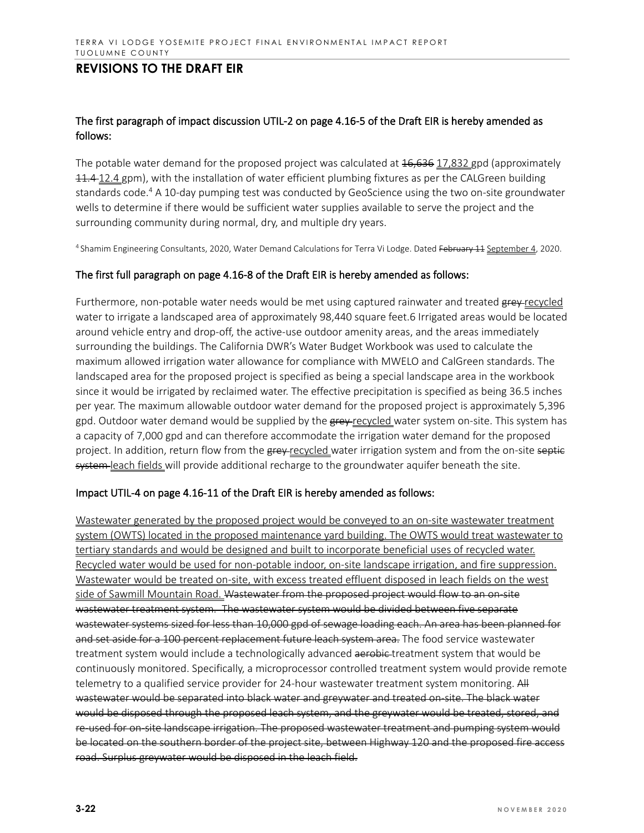### The first paragraph of impact discussion UTIL-2 on page 4.16-5 of the Draft EIR is hereby amended as follows:

The potable water demand for the proposed project was calculated at  $16,636$  17,832 gpd (approximately 11.4-12.4 gpm), with the installation of water efficient plumbing fixtures as per the CALGreen building standards code. <sup>4</sup> A 10-day pumping test was conducted by GeoScience using the two on-site groundwater wells to determine if there would be sufficient water supplies available to serve the project and the surrounding community during normal, dry, and multiple dry years.

4 Shamim Engineering Consultants, 2020, Water Demand Calculations for Terra Vi Lodge. Dated February 11 September 4, 2020.

#### The first full paragraph on page 4.16-8 of the Draft EIR is hereby amended as follows:

Furthermore, non-potable water needs would be met using captured rainwater and treated grey-recycled water to irrigate a landscaped area of approximately 98,440 square feet.6 Irrigated areas would be located around vehicle entry and drop-off, the active-use outdoor amenity areas, and the areas immediately surrounding the buildings. The California DWR's Water Budget Workbook was used to calculate the maximum allowed irrigation water allowance for compliance with MWELO and CalGreen standards. The landscaped area for the proposed project is specified as being a special landscape area in the workbook since it would be irrigated by reclaimed water. The effective precipitation is specified as being 36.5 inches per year. The maximum allowable outdoor water demand for the proposed project is approximately 5,396 gpd. Outdoor water demand would be supplied by the grey-recycled water system on-site. This system has a capacity of 7,000 gpd and can therefore accommodate the irrigation water demand for the proposed project. In addition, return flow from the grey-recycled water irrigation system and from the on-site septie system-leach fields will provide additional recharge to the groundwater aquifer beneath the site.

#### Impact UTIL-4 on page 4.16-11 of the Draft EIR is hereby amended as follows:

Wastewater generated by the proposed project would be conveyed to an on-site wastewater treatment system (OWTS) located in the proposed maintenance yard building. The OWTS would treat wastewater to tertiary standards and would be designed and built to incorporate beneficial uses of recycled water. Recycled water would be used for non-potable indoor, on-site landscape irrigation, and fire suppression. Wastewater would be treated on-site, with excess treated effluent disposed in leach fields on the west side of Sawmill Mountain Road. Wastewater from the proposed project would flow to an on-site wastewater treatment system. The wastewater system would be divided between five separate wastewater systems sized for less than 10,000 gpd of sewage loading each. An area has been planned for and set aside for a 100 percent replacement future leach system area. The food service wastewater treatment system would include a technologically advanced aerobic-treatment system that would be continuously monitored. Specifically, a microprocessor controlled treatment system would provide remote telemetry to a qualified service provider for 24-hour wastewater treatment system monitoring. All wastewater would be separated into black water and greywater and treated on-site. The black water would be disposed through the proposed leach system, and the greywater would be treated, stored, and re-used for on-site landscape irrigation. The proposed wastewater treatment and pumping system would be located on the southern border of the project site, between Highway 120 and the proposed fire access road. Surplus greywater would be disposed in the leach field.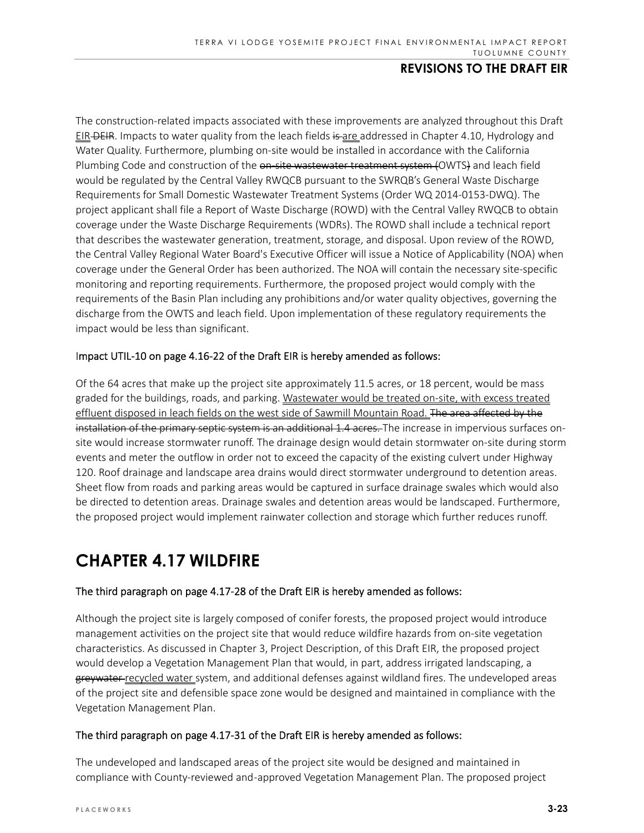The construction‐related impacts associated with these improvements are analyzed throughout this Draft EIR-DEIR. Impacts to water quality from the leach fields is are addressed in Chapter 4.10, Hydrology and Water Quality. Furthermore, plumbing on‐site would be installed in accordance with the California Plumbing Code and construction of the on site wastewater treatment system (OWTS) and leach field would be regulated by the Central Valley RWQCB pursuant to the SWRQB's General Waste Discharge Requirements for Small Domestic Wastewater Treatment Systems (Order WQ 2014‐0153‐DWQ). The project applicant shall file a Report of Waste Discharge (ROWD) with the Central Valley RWQCB to obtain coverage under the Waste Discharge Requirements (WDRs). The ROWD shall include a technical report that describes the wastewater generation, treatment, storage, and disposal. Upon review of the ROWD, the Central Valley Regional Water Board's Executive Officer will issue a Notice of Applicability (NOA) when coverage under the General Order has been authorized. The NOA will contain the necessary site‐specific monitoring and reporting requirements. Furthermore, the proposed project would comply with the requirements of the Basin Plan including any prohibitions and/or water quality objectives, governing the discharge from the OWTS and leach field. Upon implementation of these regulatory requirements the impact would be less than significant.

#### Impact UTIL‐10 on page 4.16‐22 of the Draft EIR is hereby amended as follows:

Of the 64 acres that make up the project site approximately 11.5 acres, or 18 percent, would be mass graded for the buildings, roads, and parking. Wastewater would be treated on-site, with excess treated effluent disposed in leach fields on the west side of Sawmill Mountain Road. The area affected by the installation of the primary septic system is an additional 1.4 acres. The increase in impervious surfaces onsite would increase stormwater runoff. The drainage design would detain stormwater on‐site during storm events and meter the outflow in order not to exceed the capacity of the existing culvert under Highway 120. Roof drainage and landscape area drains would direct stormwater underground to detention areas. Sheet flow from roads and parking areas would be captured in surface drainage swales which would also be directed to detention areas. Drainage swales and detention areas would be landscaped. Furthermore, the proposed project would implement rainwater collection and storage which further reduces runoff.

# **CHAPTER 4.17 WILDFIRE**

### The third paragraph on page 4.17‐28 of the Draft EIR is hereby amended as follows:

Although the project site is largely composed of conifer forests, the proposed project would introduce management activities on the project site that would reduce wildfire hazards from on‐site vegetation characteristics. As discussed in Chapter 3, Project Description, of this Draft EIR, the proposed project would develop a Vegetation Management Plan that would, in part, address irrigated landscaping, a greywater recycled water system, and additional defenses against wildland fires. The undeveloped areas of the project site and defensible space zone would be designed and maintained in compliance with the Vegetation Management Plan.

#### The third paragraph on page 4.17‐31 of the Draft EIR is hereby amended as follows:

The undeveloped and landscaped areas of the project site would be designed and maintained in compliance with County‐reviewed and ‐approved Vegetation Management Plan. The proposed project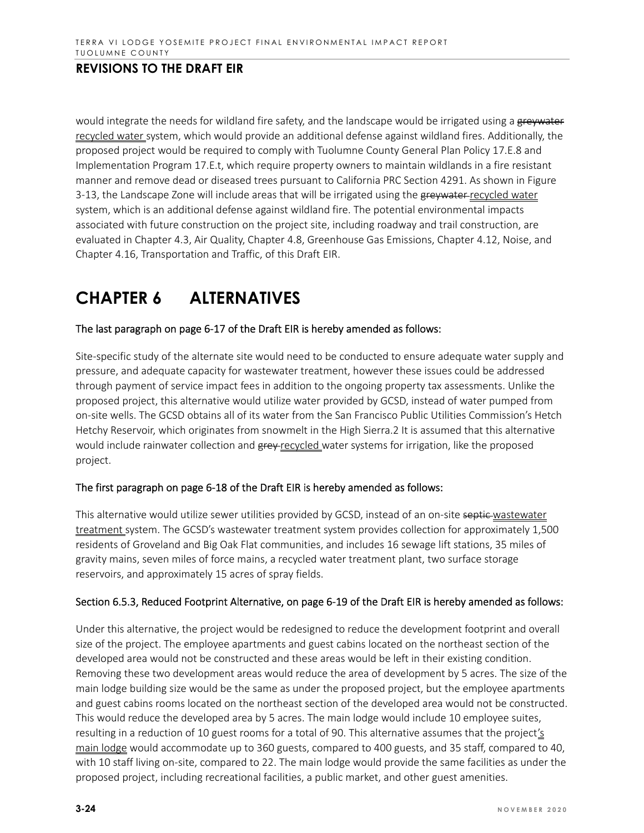would integrate the needs for wildland fire safety, and the landscape would be irrigated using a greywater recycled water system, which would provide an additional defense against wildland fires. Additionally, the proposed project would be required to comply with Tuolumne County General Plan Policy 17.E.8 and Implementation Program 17.E.t, which require property owners to maintain wildlands in a fire resistant manner and remove dead or diseased trees pursuant to California PRC Section 4291. As shown in Figure 3-13, the Landscape Zone will include areas that will be irrigated using the greywater-recycled water system, which is an additional defense against wildland fire. The potential environmental impacts associated with future construction on the project site, including roadway and trail construction, are evaluated in Chapter 4.3, Air Quality, Chapter 4.8, Greenhouse Gas Emissions, Chapter 4.12, Noise, and Chapter 4.16, Transportation and Traffic, of this Draft EIR.

# **CHAPTER 6 ALTERNATIVES**

#### The last paragraph on page 6‐17 of the Draft EIR is hereby amended as follows:

Site‐specific study of the alternate site would need to be conducted to ensure adequate water supply and pressure, and adequate capacity for wastewater treatment, however these issues could be addressed through payment of service impact fees in addition to the ongoing property tax assessments. Unlike the proposed project, this alternative would utilize water provided by GCSD, instead of water pumped from on‐site wells. The GCSD obtains all of its water from the San Francisco Public Utilities Commission's Hetch Hetchy Reservoir, which originates from snowmelt in the High Sierra.2 It is assumed that this alternative would include rainwater collection and grey-recycled water systems for irrigation, like the proposed project.

#### The first paragraph on page 6‐18 of the Draft EIR is hereby amended as follows:

This alternative would utilize sewer utilities provided by GCSD, instead of an on-site septic wastewater treatment system. The GCSD's wastewater treatment system provides collection for approximately 1,500 residents of Groveland and Big Oak Flat communities, and includes 16 sewage lift stations, 35 miles of gravity mains, seven miles of force mains, a recycled water treatment plant, two surface storage reservoirs, and approximately 15 acres of spray fields.

#### Section 6.5.3, Reduced Footprint Alternative, on page 6‐19 of the Draft EIR is hereby amended as follows:

Under this alternative, the project would be redesigned to reduce the development footprint and overall size of the project. The employee apartments and guest cabins located on the northeast section of the developed area would not be constructed and these areas would be left in their existing condition. Removing these two development areas would reduce the area of development by 5 acres. The size of the main lodge building size would be the same as under the proposed project, but the employee apartments and guest cabins rooms located on the northeast section of the developed area would not be constructed. This would reduce the developed area by 5 acres. The main lodge would include 10 employee suites, resulting in a reduction of 10 guest rooms for a total of 90. This alternative assumes that the project's main lodge would accommodate up to 360 guests, compared to 400 guests, and 35 staff, compared to 40, with 10 staff living on-site, compared to 22. The main lodge would provide the same facilities as under the proposed project, including recreational facilities, a public market, and other guest amenities.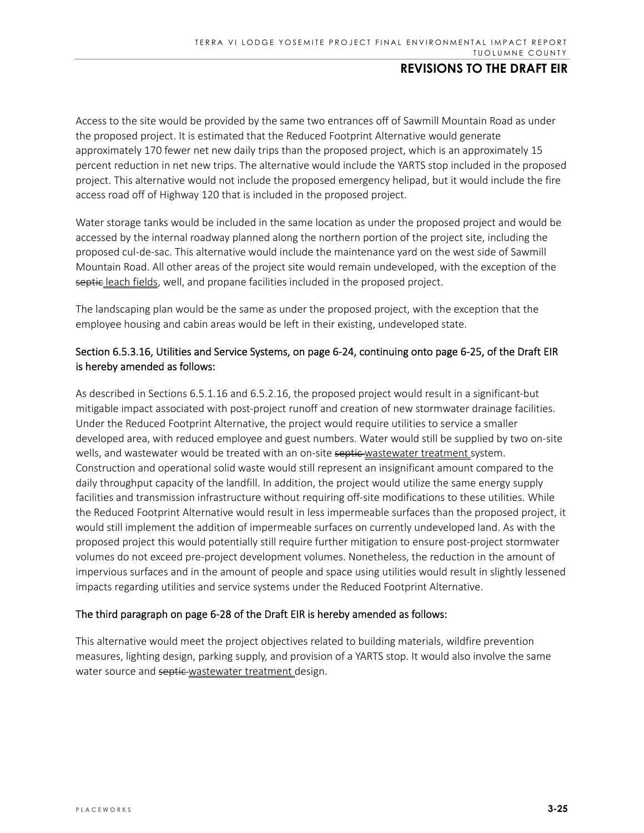Access to the site would be provided by the same two entrances off of Sawmill Mountain Road as under the proposed project. It is estimated that the Reduced Footprint Alternative would generate approximately 170 fewer net new daily trips than the proposed project, which is an approximately 15 percent reduction in net new trips. The alternative would include the YARTS stop included in the proposed project. This alternative would not include the proposed emergency helipad, but it would include the fire access road off of Highway 120 that is included in the proposed project.

Water storage tanks would be included in the same location as under the proposed project and would be accessed by the internal roadway planned along the northern portion of the project site, including the proposed cul‐de‐sac. This alternative would include the maintenance yard on the west side of Sawmill Mountain Road. All other areas of the project site would remain undeveloped, with the exception of the septic leach fields, well, and propane facilities included in the proposed project.

The landscaping plan would be the same as under the proposed project, with the exception that the employee housing and cabin areas would be left in their existing, undeveloped state.

### Section 6.5.3.16, Utilities and Service Systems, on page 6‐24, continuing onto page 6‐25, of the Draft EIR is hereby amended as follows:

As described in Sections 6.5.1.16 and 6.5.2.16, the proposed project would result in a significant‐but mitigable impact associated with post-project runoff and creation of new stormwater drainage facilities. Under the Reduced Footprint Alternative, the project would require utilities to service a smaller developed area, with reduced employee and guest numbers. Water would still be supplied by two on‐site wells, and wastewater would be treated with an on-site septic wastewater treatment system. Construction and operational solid waste would still represent an insignificant amount compared to the daily throughput capacity of the landfill. In addition, the project would utilize the same energy supply facilities and transmission infrastructure without requiring off-site modifications to these utilities. While the Reduced Footprint Alternative would result in less impermeable surfaces than the proposed project, it would still implement the addition of impermeable surfaces on currently undeveloped land. As with the proposed project this would potentially still require further mitigation to ensure post‐project stormwater volumes do not exceed pre‐project development volumes. Nonetheless, the reduction in the amount of impervious surfaces and in the amount of people and space using utilities would result in slightly lessened impacts regarding utilities and service systems under the Reduced Footprint Alternative.

#### The third paragraph on page 6‐28 of the Draft EIR is hereby amended as follows:

This alternative would meet the project objectives related to building materials, wildfire prevention measures, lighting design, parking supply, and provision of a YARTS stop. It would also involve the same water source and septic-wastewater treatment design.